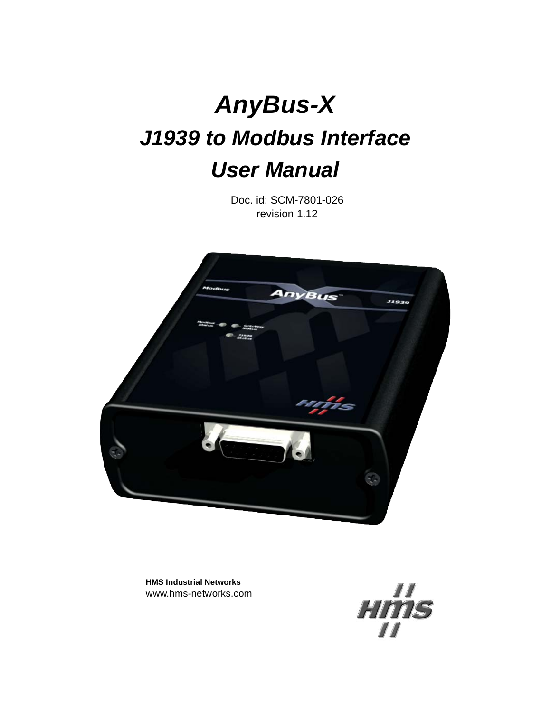# **AnyBus-X J1939 to Modbus Interface User Manual**

Doc. id: SCM-7801-026 revision 1.12



**HMS Industrial Networks** www.hms-networks.com

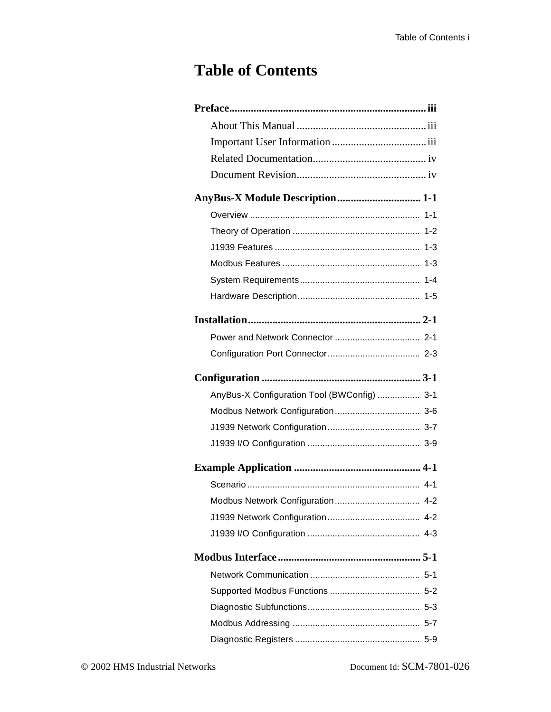# **Table of Contents**

| AnyBus-X Module Description 1-1             |
|---------------------------------------------|
|                                             |
|                                             |
|                                             |
|                                             |
|                                             |
|                                             |
|                                             |
|                                             |
|                                             |
|                                             |
| AnyBus-X Configuration Tool (BWConfig)  3-1 |
|                                             |
|                                             |
|                                             |
|                                             |
|                                             |
|                                             |
|                                             |
|                                             |
|                                             |
|                                             |
|                                             |
|                                             |
|                                             |
|                                             |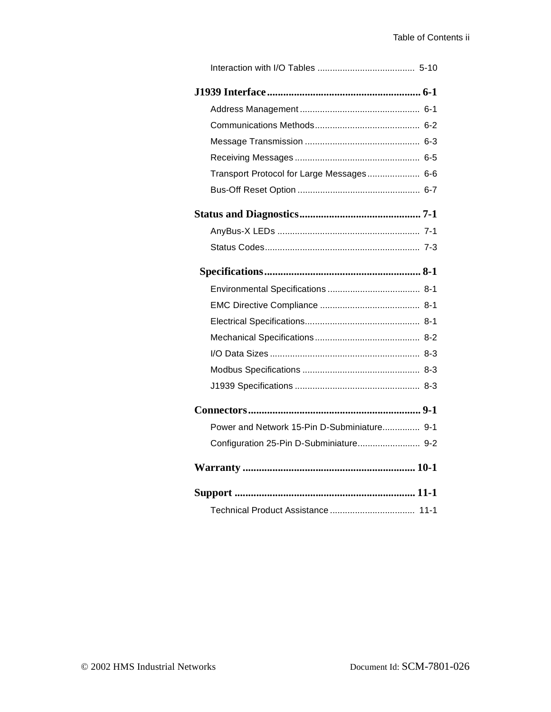| Transport Protocol for Large Messages 6-6   |
|---------------------------------------------|
|                                             |
|                                             |
|                                             |
|                                             |
|                                             |
|                                             |
|                                             |
|                                             |
|                                             |
|                                             |
|                                             |
|                                             |
|                                             |
| Power and Network 15-Pin D-Subminiature 9-1 |
| Configuration 25-Pin D-Subminiature 9-2     |
|                                             |
|                                             |
|                                             |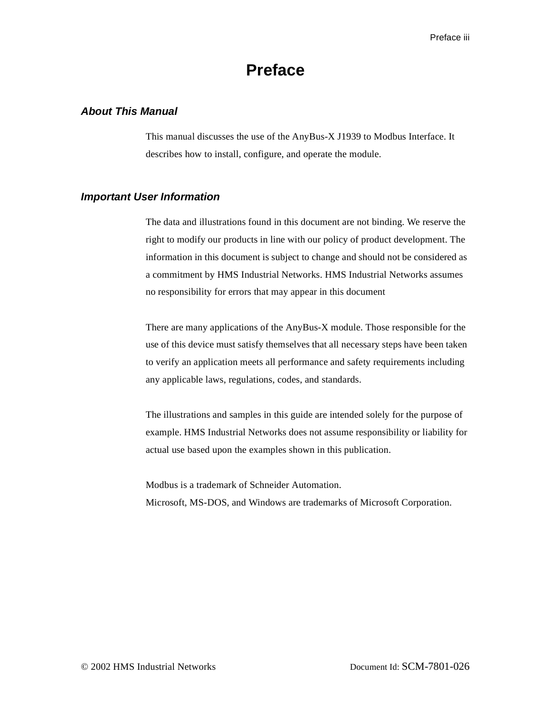## **Preface**

#### <span id="page-3-1"></span><span id="page-3-0"></span>**About This Manual**

This manual discusses the use of the AnyBus-X J1939 to Modbus Interface. It describes how to install, configure, and operate the module.

#### <span id="page-3-2"></span>**Important User Information**

The data and illustrations found in this document are not binding. We reserve the right to modify our products in line with our policy of product development. The information in this document is subject to change and should not be considered as a commitment by HMS Industrial Networks. HMS Industrial Networks assumes no responsibility for errors that may appear in this document

There are many applications of the AnyBus-X module. Those responsible for the use of this device must satisfy themselves that all necessary steps have been taken to verify an application meets all performance and safety requirements including any applicable laws, regulations, codes, and standards.

The illustrations and samples in this guide are intended solely for the purpose of example. HMS Industrial Networks does not assume responsibility or liability for actual use based upon the examples shown in this publication.

Modbus is a trademark of Schneider Automation.

Microsoft, MS-DOS, and Windows are trademarks of Microsoft Corporation.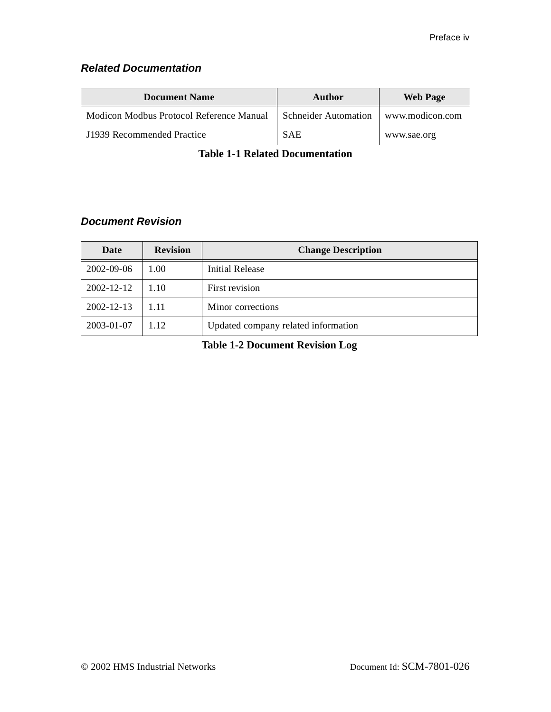## <span id="page-4-0"></span>**Related Documentation**

| <b>Document Name</b>                     | Author                      | <b>Web Page</b> |
|------------------------------------------|-----------------------------|-----------------|
| Modicon Modbus Protocol Reference Manual | <b>Schneider Automation</b> | www.modicon.com |
| J1939 Recommended Practice               | <b>SAE</b>                  | www.sae.org     |

**Table 1-1 Related Documentation**

## <span id="page-4-1"></span>**Document Revision**

| Date             | <b>Revision</b> | <b>Change Description</b>           |
|------------------|-----------------|-------------------------------------|
| 2002-09-06       | 1.00            | <b>Initial Release</b>              |
| 2002-12-12       | 1.10            | First revision                      |
| $2002 - 12 - 13$ | 111             | Minor corrections                   |
| 2003-01-07       | 1.12            | Updated company related information |

**Table 1-2 Document Revision Log**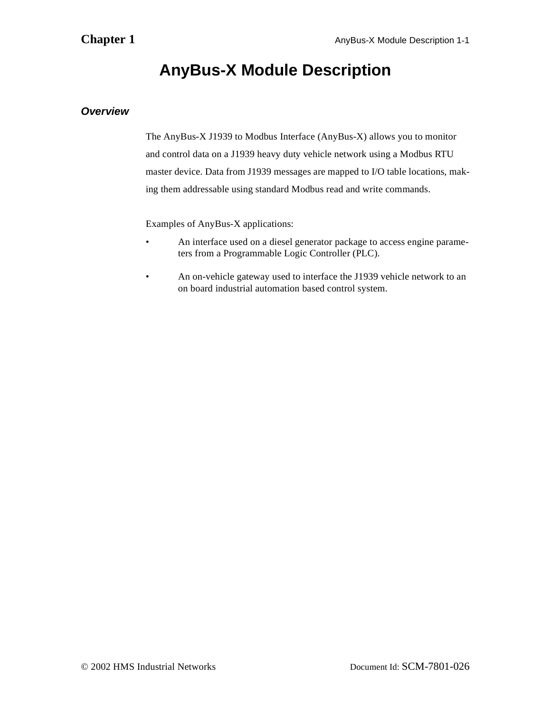## **AnyBus-X Module Description**

## <span id="page-5-1"></span><span id="page-5-0"></span>**Overview**

The AnyBus-X J1939 to Modbus Interface (AnyBus-X) allows you to monitor and control data on a J1939 heavy duty vehicle network using a Modbus RTU master device. Data from J1939 messages are mapped to I/O table locations, making them addressable using standard Modbus read and write commands.

Examples of AnyBus-X applications:

- An interface used on a diesel generator package to access engine parameters from a Programmable Logic Controller (PLC).
- An on-vehicle gateway used to interface the J1939 vehicle network to an on board industrial automation based control system.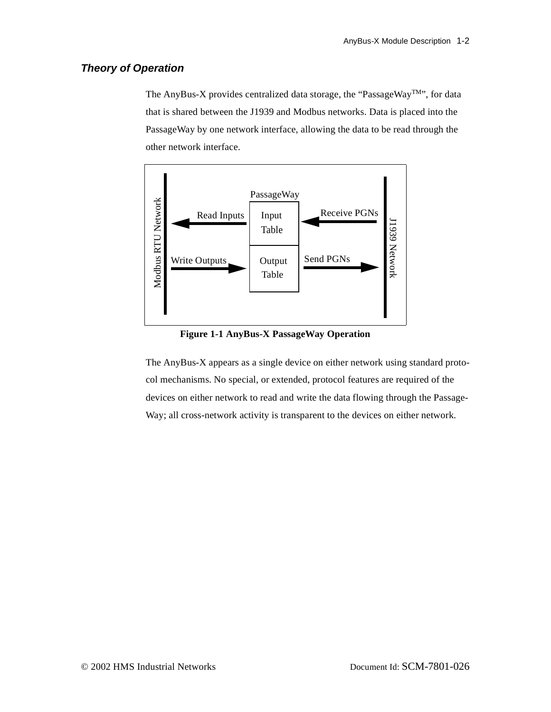### <span id="page-6-0"></span>**Theory of Operation**

The AnyBus-X provides centralized data storage, the "PassageWay<sup>TM</sup>", for data that is shared between the J1939 and Modbus networks. Data is placed into the PassageWay by one network interface, allowing the data to be read through the other network interface.



**Figure 1-1 AnyBus-X PassageWay Operation**

The AnyBus-X appears as a single device on either network using standard protocol mechanisms. No special, or extended, protocol features are required of the devices on either network to read and write the data flowing through the Passage-Way; all cross-network activity is transparent to the devices on either network.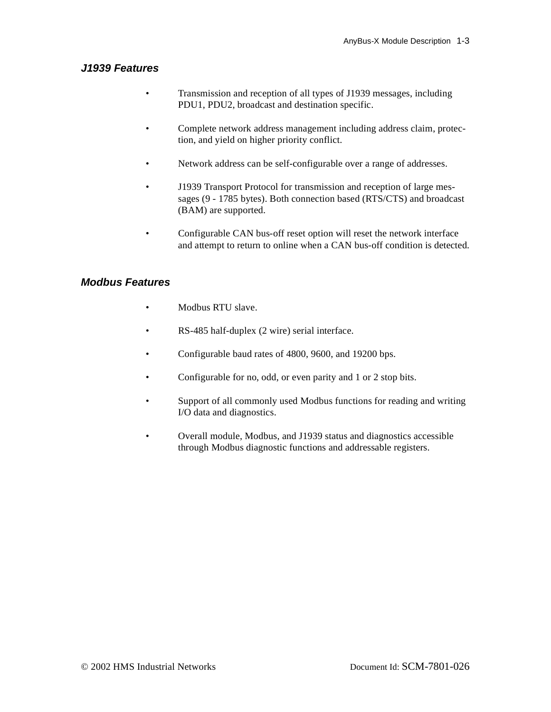## <span id="page-7-0"></span>**J1939 Features**

- Transmission and reception of all types of J1939 messages, including PDU1, PDU2, broadcast and destination specific.
- Complete network address management including address claim, protection, and yield on higher priority conflict.
- Network address can be self-configurable over a range of addresses.
- J1939 Transport Protocol for transmission and reception of large messages (9 - 1785 bytes). Both connection based (RTS/CTS) and broadcast (BAM) are supported.
- Configurable CAN bus-off reset option will reset the network interface and attempt to return to online when a CAN bus-off condition is detected.

## <span id="page-7-1"></span>**Modbus Features**

- Modbus RTU slave.
- RS-485 half-duplex (2 wire) serial interface.
- Configurable baud rates of 4800, 9600, and 19200 bps.
- Configurable for no, odd, or even parity and 1 or 2 stop bits.
- Support of all commonly used Modbus functions for reading and writing I/O data and diagnostics.
- Overall module, Modbus, and J1939 status and diagnostics accessible through Modbus diagnostic functions and addressable registers.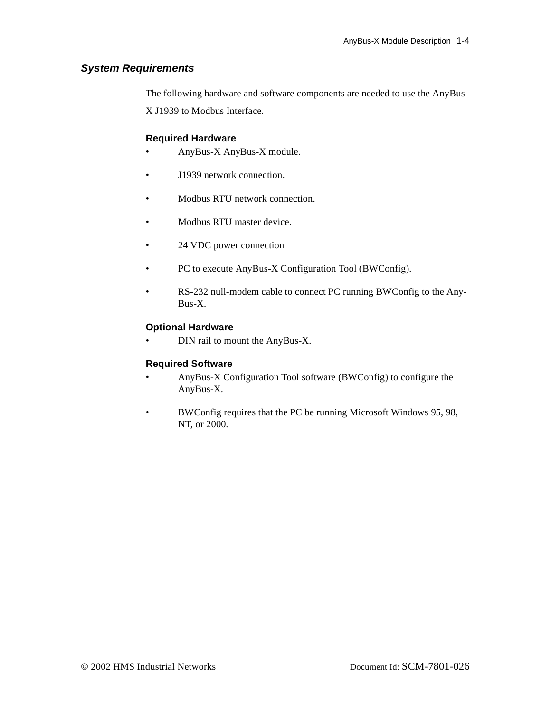## <span id="page-8-0"></span>**System Requirements**

The following hardware and software components are needed to use the AnyBus-X J1939 to Modbus Interface.

## **Required Hardware**

- AnyBus-X AnyBus-X module.
- J1939 network connection.
- Modbus RTU network connection.
- Modbus RTU master device.
- 24 VDC power connection
- PC to execute AnyBus-X Configuration Tool (BWConfig).
- RS-232 null-modem cable to connect PC running BWConfig to the Any-Bus-X.

#### **Optional Hardware**

• DIN rail to mount the AnyBus-X.

#### **Required Software**

- AnyBus-X Configuration Tool software (BWConfig) to configure the AnyBus-X.
- BWConfig requires that the PC be running Microsoft Windows 95, 98, NT, or 2000.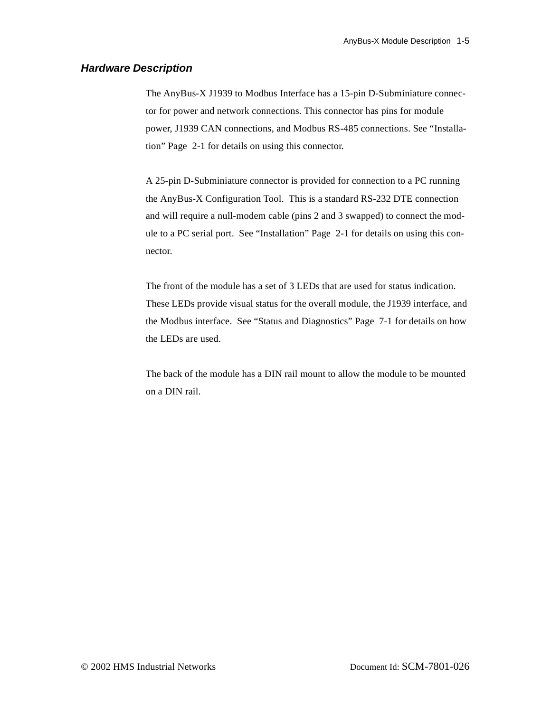#### <span id="page-9-0"></span>**Hardware Description**

The AnyBus-X J1939 to Modbus Interface has a 15-pin D-Subminiature connector for power and network connections. This connector has pins for module power, J1939 CAN connections, and Modbus RS-485 connections. See ["Installa](#page-10-2)[tion" Page 2-1](#page-10-2) for details on using this connector.

A 25-pin D-Subminiature connector is provided for connection to a PC running the AnyBus-X Configuration Tool. This is a standard RS-232 DTE connection and will require a null-modem cable (pins 2 and 3 swapped) to connect the module to a PC serial port. See ["Installation" Page 2-1](#page-10-2) for details on using this connector.

The front of the module has a set of 3 LEDs that are used for status indication. These LEDs provide visual status for the overall module, the J1939 interface, and the Modbus interface. See ["Status and Diagnostics" Page 7-1](#page-46-2) for details on how the LEDs are used.

The back of the module has a DIN rail mount to allow the module to be mounted on a DIN rail.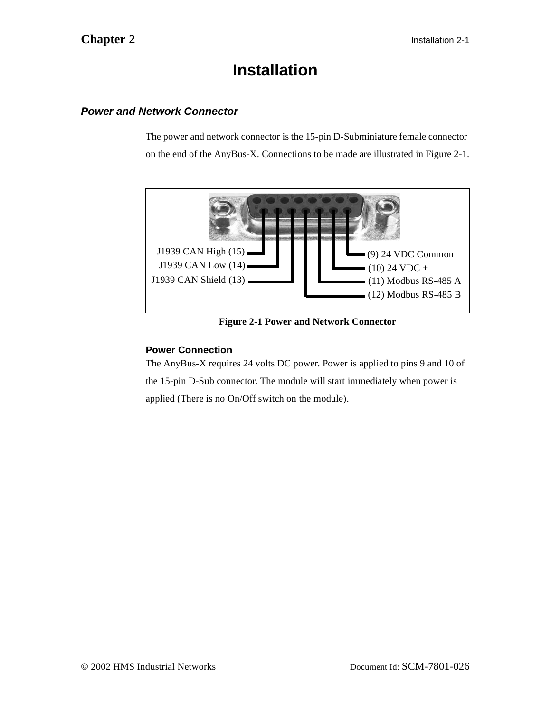## <span id="page-10-2"></span>**Installation**

## <span id="page-10-1"></span><span id="page-10-0"></span>**Power and Network Connector**

The power and network connector is the 15-pin D-Subminiature female connector on the end of the AnyBus-X. Connections to be made are illustrated in [Figure 2-1](#page-10-3).



**Figure 2-1 Power and Network Connector**

## <span id="page-10-3"></span>**Power Connection**

The AnyBus-X requires 24 volts DC power. Power is applied to pins 9 and 10 of the 15-pin D-Sub connector. The module will start immediately when power is applied (There is no On/Off switch on the module).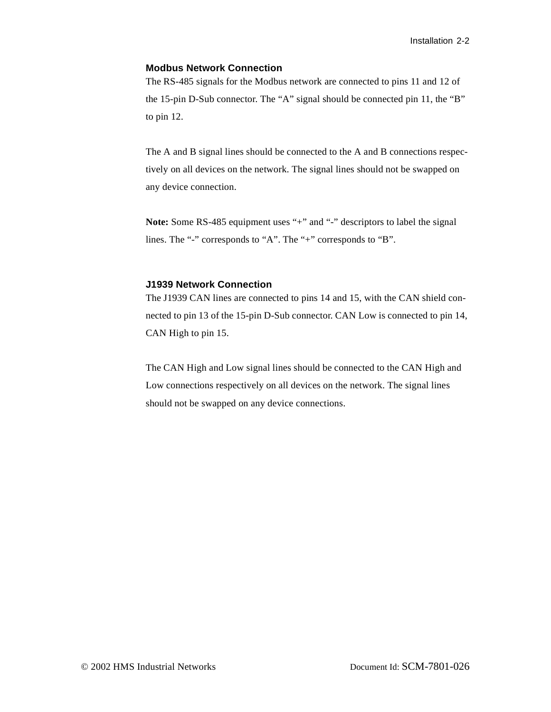#### **Modbus Network Connection**

The RS-485 signals for the Modbus network are connected to pins 11 and 12 of the 15-pin D-Sub connector. The "A" signal should be connected pin 11, the "B" to pin 12.

The A and B signal lines should be connected to the A and B connections respectively on all devices on the network. The signal lines should not be swapped on any device connection.

Note: Some RS-485 equipment uses "+" and "-" descriptors to label the signal lines. The "-" corresponds to "A". The "+" corresponds to "B".

#### **J1939 Network Connection**

The J1939 CAN lines are connected to pins 14 and 15, with the CAN shield connected to pin 13 of the 15-pin D-Sub connector. CAN Low is connected to pin 14, CAN High to pin 15.

The CAN High and Low signal lines should be connected to the CAN High and Low connections respectively on all devices on the network. The signal lines should not be swapped on any device connections.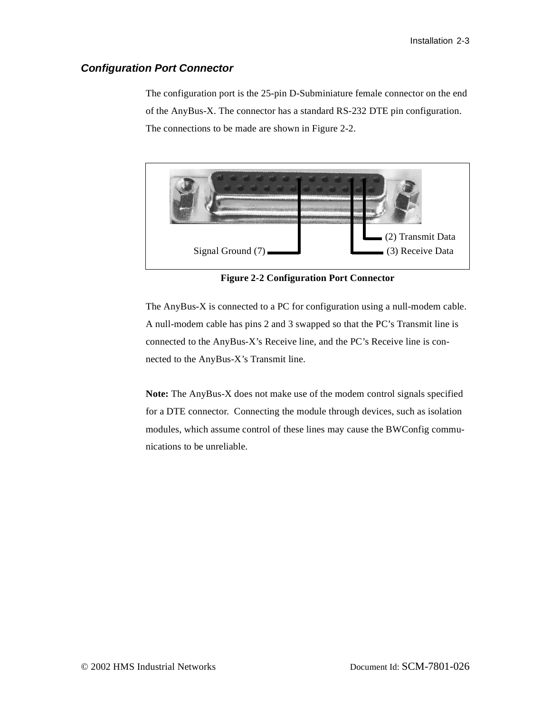### <span id="page-12-0"></span>**Configuration Port Connector**

The configuration port is the 25-pin D-Subminiature female connector on the end of the AnyBus-X. The connector has a standard RS-232 DTE pin configuration. The connections to be made are shown in [Figure 2-2.](#page-12-1)



**Figure 2-2 Configuration Port Connector**

<span id="page-12-1"></span>The AnyBus-X is connected to a PC for configuration using a null-modem cable. A null-modem cable has pins 2 and 3 swapped so that the PC's Transmit line is connected to the AnyBus-X's Receive line, and the PC's Receive line is connected to the AnyBus-X's Transmit line.

**Note:** The AnyBus-X does not make use of the modem control signals specified for a DTE connector. Connecting the module through devices, such as isolation modules, which assume control of these lines may cause the BWConfig communications to be unreliable.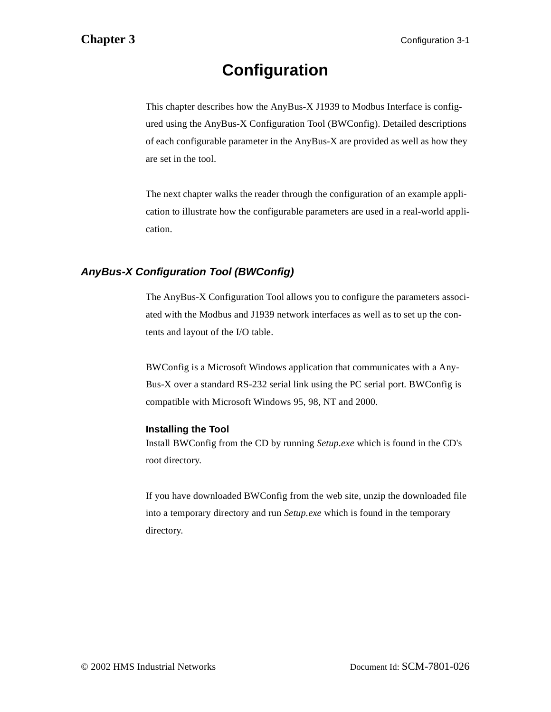# <span id="page-13-2"></span>**Configuration**

<span id="page-13-0"></span>This chapter describes how the AnyBus-X J1939 to Modbus Interface is configured using the AnyBus-X Configuration Tool (BWConfig). Detailed descriptions of each configurable parameter in the AnyBus-X are provided as well as how they are set in the tool.

The next chapter walks the reader through the configuration of an example application to illustrate how the configurable parameters are used in a real-world application.

## <span id="page-13-1"></span>**AnyBus-X Configuration Tool (BWConfig)**

The AnyBus-X Configuration Tool allows you to configure the parameters associated with the Modbus and J1939 network interfaces as well as to set up the contents and layout of the I/O table.

BWConfig is a Microsoft Windows application that communicates with a Any-Bus-X over a standard RS-232 serial link using the PC serial port. BWConfig is compatible with Microsoft Windows 95, 98, NT and 2000.

## **Installing the Tool**

Install BWConfig from the CD by running *Setup.exe* which is found in the CD's root directory.

If you have downloaded BWConfig from the web site, unzip the downloaded file into a temporary directory and run *Setup.exe* which is found in the temporary directory.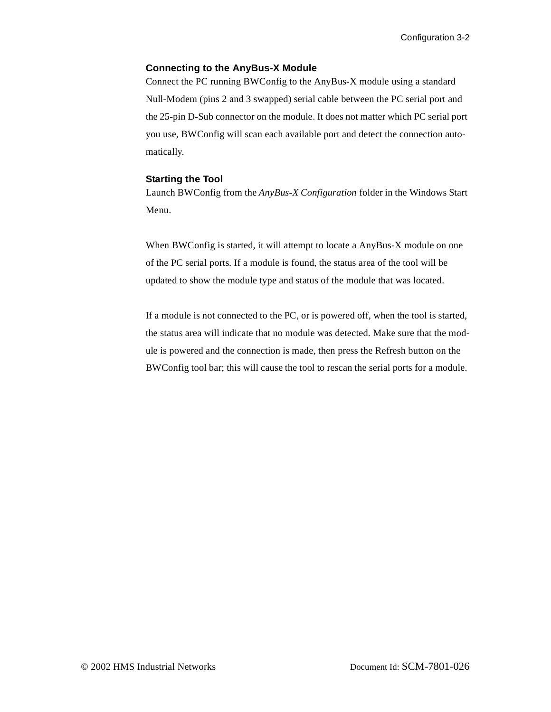### **Connecting to the AnyBus-X Module**

Connect the PC running BWConfig to the AnyBus-X module using a standard Null-Modem (pins 2 and 3 swapped) serial cable between the PC serial port and the 25-pin D-Sub connector on the module. It does not matter which PC serial port you use, BWConfig will scan each available port and detect the connection automatically.

#### **Starting the Tool**

Launch BWConfig from the *AnyBus-X Configuration* folder in the Windows Start Menu.

When BWConfig is started, it will attempt to locate a AnyBus-X module on one of the PC serial ports. If a module is found, the status area of the tool will be updated to show the module type and status of the module that was located.

If a module is not connected to the PC, or is powered off, when the tool is started, the status area will indicate that no module was detected. Make sure that the module is powered and the connection is made, then press the Refresh button on the BWConfig tool bar; this will cause the tool to rescan the serial ports for a module.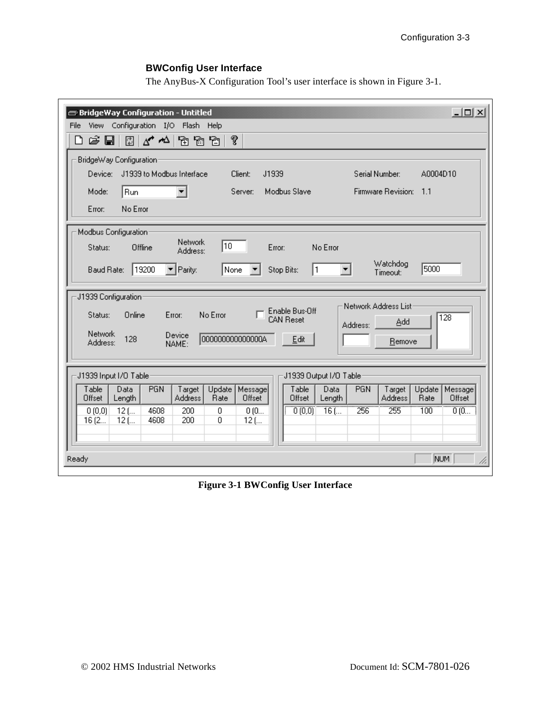## **BWConfig User Interface**

The AnyBus-X Configuration Tool's user interface is shown in [Figure 3-1.](#page-15-0)

| $ \Box$ $\times$<br>BridgeWay Configuration - Untitled                                                                                                                                                              |
|---------------------------------------------------------------------------------------------------------------------------------------------------------------------------------------------------------------------|
| View Configuration I/O Flash Help<br><b>File</b>                                                                                                                                                                    |
| ?<br>G H<br>0 1 4 <sup>4</sup> 1 6 6 7<br>▯                                                                                                                                                                         |
| BridgeWay Configuration                                                                                                                                                                                             |
| J1939 to Modbus Interface<br>Client:<br>J1939<br>Serial Number:<br>A0004D10<br>Device:                                                                                                                              |
| Run<br>Modbus Slave<br>Firmware Revision: 1.1<br>Mode:<br>Server:                                                                                                                                                   |
| No Error<br>Error:                                                                                                                                                                                                  |
| Modbus Configuration:                                                                                                                                                                                               |
| <b>Network</b><br>10<br>Offline<br>No Error<br>Status:<br>Error:<br>Address:                                                                                                                                        |
| Watchdog<br>5000<br>19200<br>$\blacktriangleright$ Parity:<br>None<br>Baud Rate:<br>Stop Bits:<br>1<br>Timeout:                                                                                                     |
| J1939 Configuration:                                                                                                                                                                                                |
| Network Address List<br>Enable Bus-Off<br>Online<br>No Error<br>Error:<br>Status:<br>$\overline{128}$<br><b>CAN Reset</b>                                                                                           |
| Add<br>Address:<br><b>Network</b><br>Device                                                                                                                                                                         |
| 0000000000000000<br>128<br>Edit<br>Remove<br>Address:<br>NAME:                                                                                                                                                      |
|                                                                                                                                                                                                                     |
| J1939 Input I/O Table<br>J1939 Output I/O Table:                                                                                                                                                                    |
| Table<br>PGN<br>Update<br>Message<br>Table<br>PGN<br>Update   Message <br>Data<br>Target<br>Data<br>Target<br>Rate<br>Offset<br>Offset<br><b>Address</b><br>Rate<br>Offset<br>Offset<br>Length<br>Address<br>Length |
| $\overline{256}$<br>255<br><b>TÖÖ</b><br>$\overline{0}$ (0)<br>0(0,0)<br>$\overline{16}$ (<br>0(0<br>0(0,0)<br>$12$ (<br>4608<br>200<br>0                                                                           |
| 4608<br>200<br>0<br>16(2<br>$12$ (<br>$12$ (                                                                                                                                                                        |
|                                                                                                                                                                                                                     |
| NUM<br>Ready                                                                                                                                                                                                        |

<span id="page-15-0"></span>**Figure 3-1 BWConfig User Interface**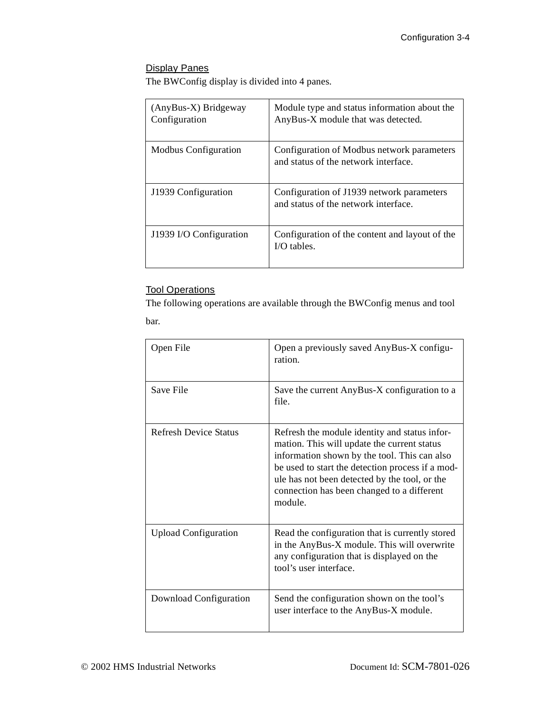## Display Panes

The BWConfig display is divided into 4 panes.

| (AnyBus-X) Bridgeway<br>Configuration | Module type and status information about the<br>AnyBus-X module that was detected. |
|---------------------------------------|------------------------------------------------------------------------------------|
| Modbus Configuration                  | Configuration of Modbus network parameters<br>and status of the network interface. |
| J1939 Configuration                   | Configuration of J1939 network parameters<br>and status of the network interface.  |
| J1939 I/O Configuration               | Configuration of the content and layout of the<br>$I/O$ tables.                    |

## **Tool Operations**

The following operations are available through the BWConfig menus and tool bar.

| Open File                    | Open a previously saved AnyBus-X configu-<br>ration.                                                                                                                                                                                                                                                       |
|------------------------------|------------------------------------------------------------------------------------------------------------------------------------------------------------------------------------------------------------------------------------------------------------------------------------------------------------|
| Save File                    | Save the current AnyBus-X configuration to a<br>file.                                                                                                                                                                                                                                                      |
| <b>Refresh Device Status</b> | Refresh the module identity and status infor-<br>mation. This will update the current status<br>information shown by the tool. This can also<br>be used to start the detection process if a mod-<br>ule has not been detected by the tool, or the<br>connection has been changed to a different<br>module. |
| <b>Upload Configuration</b>  | Read the configuration that is currently stored<br>in the AnyBus-X module. This will overwrite<br>any configuration that is displayed on the<br>tool's user interface.                                                                                                                                     |
| Download Configuration       | Send the configuration shown on the tool's<br>user interface to the AnyBus-X module.                                                                                                                                                                                                                       |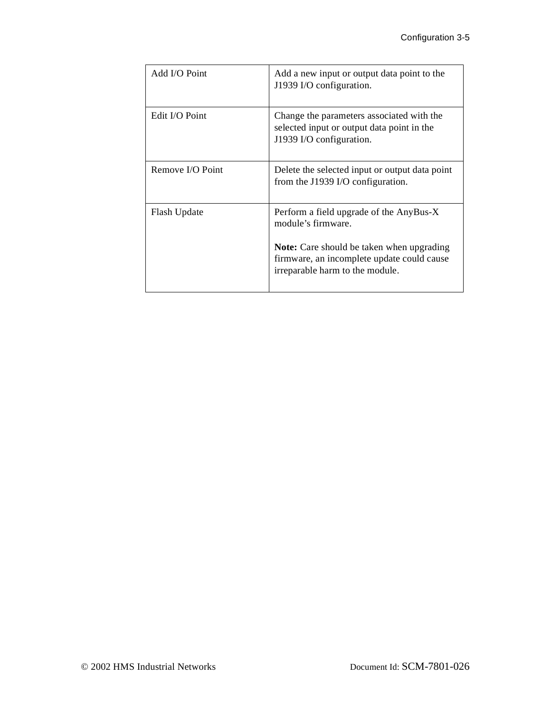| Add I/O Point    | Add a new input or output data point to the<br>J1939 I/O configuration.                                                                                                                            |
|------------------|----------------------------------------------------------------------------------------------------------------------------------------------------------------------------------------------------|
| Edit I/O Point   | Change the parameters associated with the<br>selected input or output data point in the<br>J1939 I/O configuration.                                                                                |
| Remove I/O Point | Delete the selected input or output data point<br>from the J1939 I/O configuration.                                                                                                                |
| Flash Update     | Perform a field upgrade of the AnyBus-X<br>module's firmware.<br><b>Note:</b> Care should be taken when upgrading<br>firmware, an incomplete update could cause<br>irreparable harm to the module. |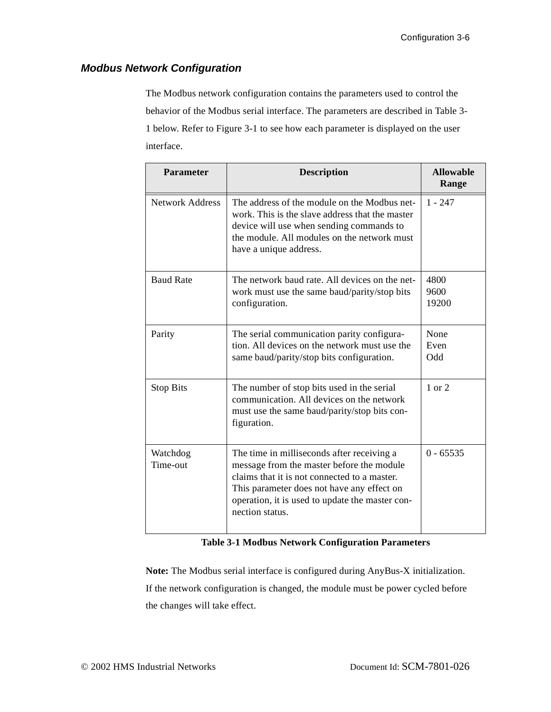## <span id="page-18-0"></span>**Modbus Network Configuration**

The Modbus network configuration contains the parameters used to control the behavior of the Modbus serial interface. The parameters are described in [Table 3-](#page-18-1) [1](#page-18-1) below. Refer to [Figure 3-1](#page-15-0) to see how each parameter is displayed on the user interface.

| <b>Parameter</b>       | <b>Description</b>                                                                                                                                                                                                                                          | <b>Allowable</b><br>Range |
|------------------------|-------------------------------------------------------------------------------------------------------------------------------------------------------------------------------------------------------------------------------------------------------------|---------------------------|
| <b>Network Address</b> | The address of the module on the Modbus net-<br>work. This is the slave address that the master<br>device will use when sending commands to<br>the module. All modules on the network must<br>have a unique address.                                        | $1 - 247$                 |
| <b>Baud Rate</b>       | The network baud rate. All devices on the net-<br>work must use the same baud/parity/stop bits<br>configuration.                                                                                                                                            | 4800<br>9600<br>19200     |
| Parity                 | The serial communication parity configura-<br>tion. All devices on the network must use the<br>same baud/parity/stop bits configuration.                                                                                                                    | None<br>Even<br>Odd       |
| <b>Stop Bits</b>       | The number of stop bits used in the serial<br>communication. All devices on the network<br>must use the same baud/parity/stop bits con-<br>figuration.                                                                                                      | 1 or 2                    |
| Watchdog<br>Time-out   | The time in milliseconds after receiving a<br>message from the master before the module<br>claims that it is not connected to a master.<br>This parameter does not have any effect on<br>operation, it is used to update the master con-<br>nection status. | $0 - 65535$               |

#### **Table 3-1 Modbus Network Configuration Parameters**

<span id="page-18-1"></span>**Note:** The Modbus serial interface is configured during AnyBus-X initialization. If the network configuration is changed, the module must be power cycled before the changes will take effect.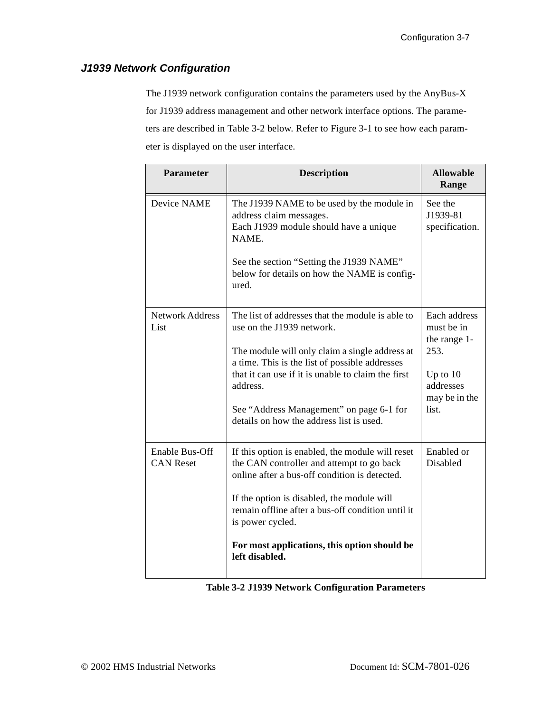## <span id="page-19-0"></span>**J1939 Network Configuration**

The J1939 network configuration contains the parameters used by the AnyBus-X for J1939 address management and other network interface options. The parameters are described in [Table 3-2](#page-19-1) below. Refer to [Figure 3-1](#page-15-0) to see how each parameter is displayed on the user interface.

| <b>Parameter</b>                          | <b>Description</b>                                                                                                                                                                                                                                                                                                                          | <b>Allowable</b><br>Range                                                                               |
|-------------------------------------------|---------------------------------------------------------------------------------------------------------------------------------------------------------------------------------------------------------------------------------------------------------------------------------------------------------------------------------------------|---------------------------------------------------------------------------------------------------------|
| Device NAME                               | The J1939 NAME to be used by the module in<br>address claim messages.<br>Each J1939 module should have a unique<br>NAME.<br>See the section "Setting the J1939 NAME"<br>below for details on how the NAME is config-<br>ured.                                                                                                               | See the<br>J1939-81<br>specification.                                                                   |
| <b>Network Address</b><br>List            | The list of addresses that the module is able to<br>use on the J1939 network.<br>The module will only claim a single address at<br>a time. This is the list of possible addresses<br>that it can use if it is unable to claim the first<br>address.<br>See "Address Management" on page 6-1 for<br>details on how the address list is used. | Each address<br>must be in<br>the range 1-<br>253.<br>Up to $10$<br>addresses<br>may be in the<br>list. |
| <b>Enable Bus-Off</b><br><b>CAN Reset</b> | If this option is enabled, the module will reset<br>the CAN controller and attempt to go back<br>online after a bus-off condition is detected.<br>If the option is disabled, the module will<br>remain offline after a bus-off condition until it<br>is power cycled.<br>For most applications, this option should be<br>left disabled.     | Enabled or<br>Disabled                                                                                  |

<span id="page-19-1"></span>**Table 3-2 J1939 Network Configuration Parameters**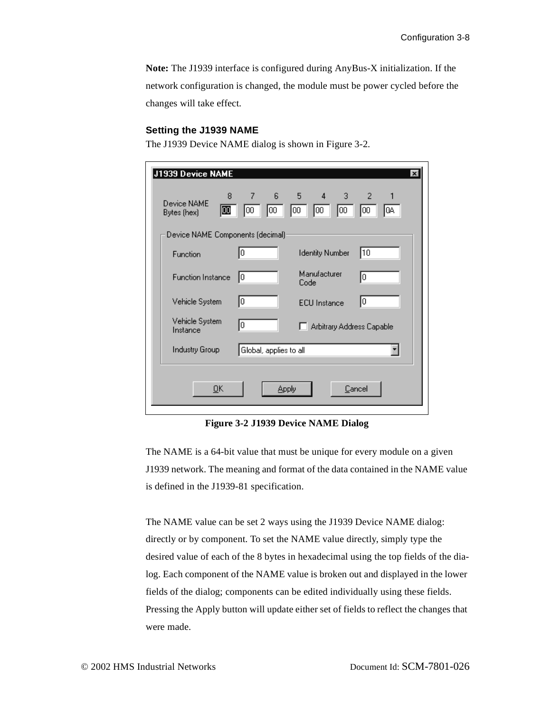**Note:** The J1939 interface is configured during AnyBus-X initialization. If the network configuration is changed, the module must be power cycled before the changes will take effect.

#### <span id="page-20-0"></span>**Setting the J1939 NAME**

The J1939 Device NAME dialog is shown in [Figure 3-2.](#page-20-1)

| J1939 Device NAME                     | $\vert x \vert$                                                                               |
|---------------------------------------|-----------------------------------------------------------------------------------------------|
| 8<br>Device NAME<br>00<br>Bytes (hex) | $7 - 1$<br>$6 -$<br>$5 \qquad 4$<br>3.<br>$2 -$<br>00<br>100<br>100<br>0A<br>100<br>00<br>100 |
| Device NAME Components (decimal)      |                                                                                               |
| Function                              | 10<br>0<br><b>Identity Number</b>                                                             |
| <b>Function Instance</b>              | Manufacturer<br>10<br>10<br>Code                                                              |
| Vehicle System                        | 10<br>10<br><b>ECU</b> Instance                                                               |
| Vehicle System<br>Instance            | 0<br>Arbitrary Address Capable                                                                |
| Industry Group                        | Global, applies to all                                                                        |
| QK                                    | Cancel<br>Apply                                                                               |
|                                       |                                                                                               |

**Figure 3-2 J1939 Device NAME Dialog**

<span id="page-20-1"></span>The NAME is a 64-bit value that must be unique for every module on a given J1939 network. The meaning and format of the data contained in the NAME value is defined in the J1939-81 specification.

The NAME value can be set 2 ways using the J1939 Device NAME dialog: directly or by component. To set the NAME value directly, simply type the desired value of each of the 8 bytes in hexadecimal using the top fields of the dialog. Each component of the NAME value is broken out and displayed in the lower fields of the dialog; components can be edited individually using these fields. Pressing the Apply button will update either set of fields to reflect the changes that were made.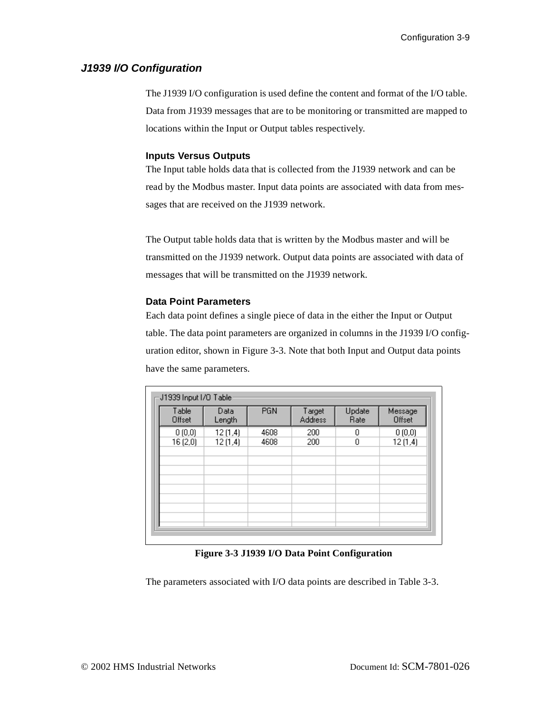### <span id="page-21-0"></span>**J1939 I/O Configuration**

The J1939 I/O configuration is used define the content and format of the I/O table. Data from J1939 messages that are to be monitoring or transmitted are mapped to locations within the Input or Output tables respectively.

#### **Inputs Versus Outputs**

The Input table holds data that is collected from the J1939 network and can be read by the Modbus master. Input data points are associated with data from messages that are received on the J1939 network.

The Output table holds data that is written by the Modbus master and will be transmitted on the J1939 network. Output data points are associated with data of messages that will be transmitted on the J1939 network.

#### **Data Point Parameters**

Each data point defines a single piece of data in the either the Input or Output table. The data point parameters are organized in columns in the J1939 I/O configuration editor, shown in [Figure 3-3](#page-21-1). Note that both Input and Output data points have the same parameters.

| Table<br>Offset | Data<br>Length | <b>PGN</b> | Target<br><b>Address</b> | Update<br>Rate | Message<br>Offset |
|-----------------|----------------|------------|--------------------------|----------------|-------------------|
| 0(0,0)          | 12(1,4)        | 4608       | 200                      | 0              | 0(0,0)            |
| 16(2,0)         | 12(1,4)        | 4608       | 200                      | 0              | 12(1,4)           |
|                 |                |            |                          |                |                   |
|                 |                |            |                          |                |                   |
|                 |                |            |                          |                |                   |
|                 |                |            |                          |                |                   |
|                 |                |            |                          |                |                   |
|                 |                |            |                          |                |                   |
|                 |                |            |                          |                |                   |
|                 |                |            |                          |                |                   |

#### **Figure 3-3 J1939 I/O Data Point Configuration**

<span id="page-21-1"></span>The parameters associated with I/O data points are described in [Table 3-3.](#page-22-0)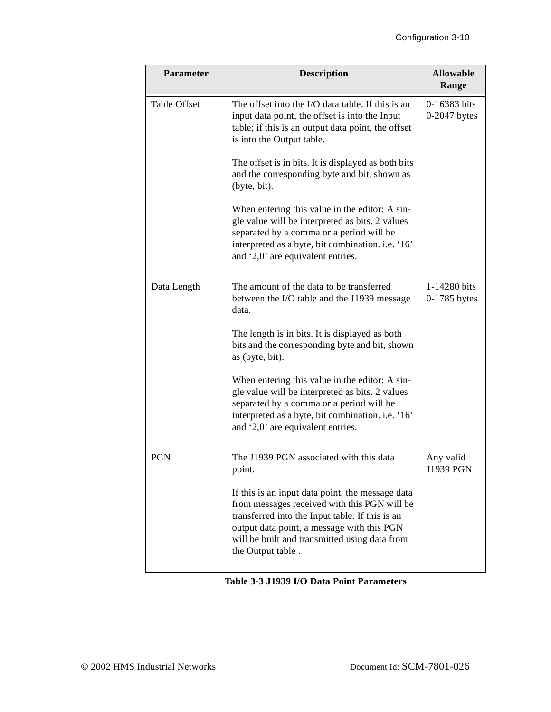| Parameter           | <b>Description</b>                                                                                                                                                                                                                                                      | <b>Allowable</b><br>Range      |
|---------------------|-------------------------------------------------------------------------------------------------------------------------------------------------------------------------------------------------------------------------------------------------------------------------|--------------------------------|
| <b>Table Offset</b> | The offset into the I/O data table. If this is an<br>input data point, the offset is into the Input<br>table; if this is an output data point, the offset<br>is into the Output table.                                                                                  | 0-16383 bits<br>$0-2047$ bytes |
|                     | The offset is in bits. It is displayed as both bits<br>and the corresponding byte and bit, shown as<br>(byte, bit).                                                                                                                                                     |                                |
|                     | When entering this value in the editor: A sin-<br>gle value will be interpreted as bits. 2 values<br>separated by a comma or a period will be<br>interpreted as a byte, bit combination. i.e. '16'<br>and '2,0' are equivalent entries.                                 |                                |
| Data Length         | The amount of the data to be transferred<br>between the I/O table and the J1939 message<br>data.                                                                                                                                                                        | 1-14280 bits<br>0-1785 bytes   |
|                     | The length is in bits. It is displayed as both<br>bits and the corresponding byte and bit, shown<br>as (byte, bit).                                                                                                                                                     |                                |
|                     | When entering this value in the editor: A sin-<br>gle value will be interpreted as bits. 2 values<br>separated by a comma or a period will be<br>interpreted as a byte, bit combination. i.e. '16'<br>and '2,0' are equivalent entries.                                 |                                |
| <b>PGN</b>          | The J1939 PGN associated with this data<br>point.                                                                                                                                                                                                                       | Any valid<br>J1939 PGN         |
|                     | If this is an input data point, the message data<br>from messages received with this PGN will be<br>transferred into the Input table. If this is an<br>output data point, a message with this PGN<br>will be built and transmitted using data from<br>the Output table. |                                |

## <span id="page-22-0"></span>**Table 3-3 J1939 I/O Data Point Parameters**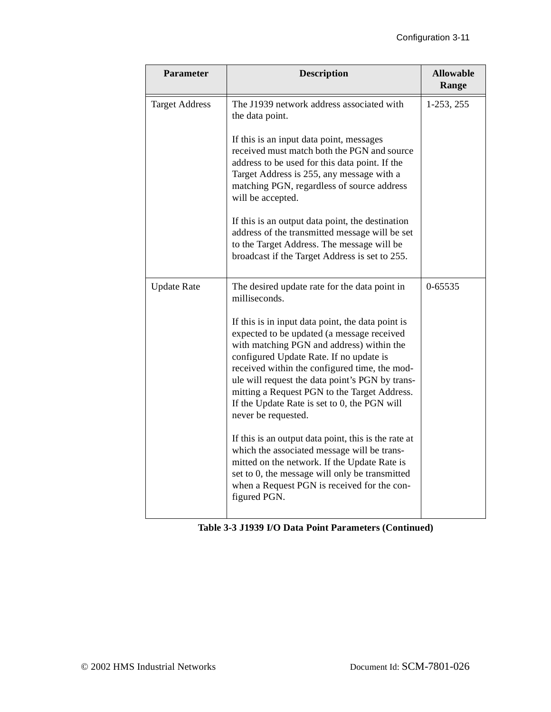| <b>Parameter</b>      | <b>Description</b>                                                                                                                                                                                                                                                                                                                                                                                                 | <b>Allowable</b><br>Range |
|-----------------------|--------------------------------------------------------------------------------------------------------------------------------------------------------------------------------------------------------------------------------------------------------------------------------------------------------------------------------------------------------------------------------------------------------------------|---------------------------|
| <b>Target Address</b> | The J1939 network address associated with<br>the data point.                                                                                                                                                                                                                                                                                                                                                       | $1-253, 255$              |
|                       | If this is an input data point, messages<br>received must match both the PGN and source<br>address to be used for this data point. If the<br>Target Address is 255, any message with a<br>matching PGN, regardless of source address<br>will be accepted.                                                                                                                                                          |                           |
|                       | If this is an output data point, the destination<br>address of the transmitted message will be set<br>to the Target Address. The message will be<br>broadcast if the Target Address is set to 255.                                                                                                                                                                                                                 |                           |
| <b>Update Rate</b>    | The desired update rate for the data point in<br>milliseconds.                                                                                                                                                                                                                                                                                                                                                     | $0 - 65535$               |
|                       | If this is in input data point, the data point is<br>expected to be updated (a message received<br>with matching PGN and address) within the<br>configured Update Rate. If no update is<br>received within the configured time, the mod-<br>ule will request the data point's PGN by trans-<br>mitting a Request PGN to the Target Address.<br>If the Update Rate is set to 0, the PGN will<br>never be requested. |                           |
|                       | If this is an output data point, this is the rate at<br>which the associated message will be trans-<br>mitted on the network. If the Update Rate is<br>set to 0, the message will only be transmitted<br>when a Request PGN is received for the con-<br>figured PGN.                                                                                                                                               |                           |

|  |  | Table 3-3 J1939 I/O Data Point Parameters (Continued) |  |
|--|--|-------------------------------------------------------|--|
|--|--|-------------------------------------------------------|--|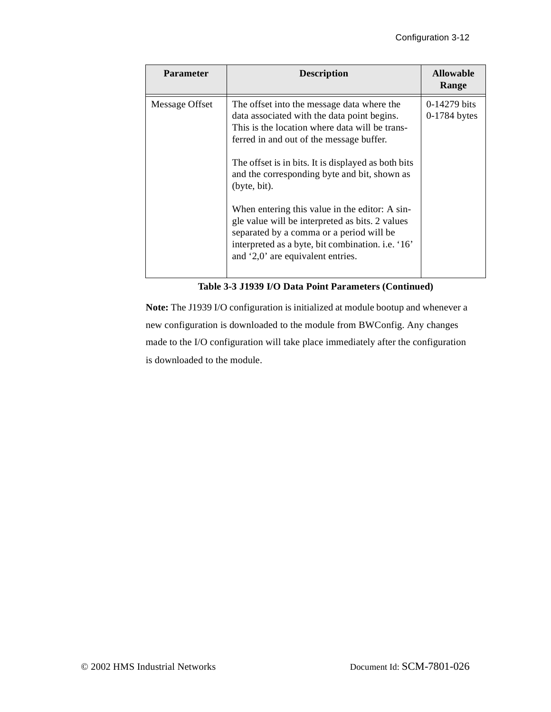| <b>Parameter</b> | <b>Description</b>                                                                                                                                                                                                                                                                                                                                                                                                                                                                                                                                        | <b>Allowable</b><br>Range              |
|------------------|-----------------------------------------------------------------------------------------------------------------------------------------------------------------------------------------------------------------------------------------------------------------------------------------------------------------------------------------------------------------------------------------------------------------------------------------------------------------------------------------------------------------------------------------------------------|----------------------------------------|
| Message Offset   | The offset into the message data where the<br>data associated with the data point begins.<br>This is the location where data will be trans-<br>ferred in and out of the message buffer.<br>The offset is in bits. It is displayed as both bits<br>and the corresponding byte and bit, shown as<br>(byte, bit).<br>When entering this value in the editor: A sin-<br>gle value will be interpreted as bits. 2 values<br>separated by a comma or a period will be<br>interpreted as a byte, bit combination. i.e. '16'<br>and '2,0' are equivalent entries. | $0-14279 \text{ bits}$<br>0-1784 bytes |

**Table 3-3 J1939 I/O Data Point Parameters (Continued)**

**Note:** The J1939 I/O configuration is initialized at module bootup and whenever a new configuration is downloaded to the module from BWConfig. Any changes made to the I/O configuration will take place immediately after the configuration is downloaded to the module.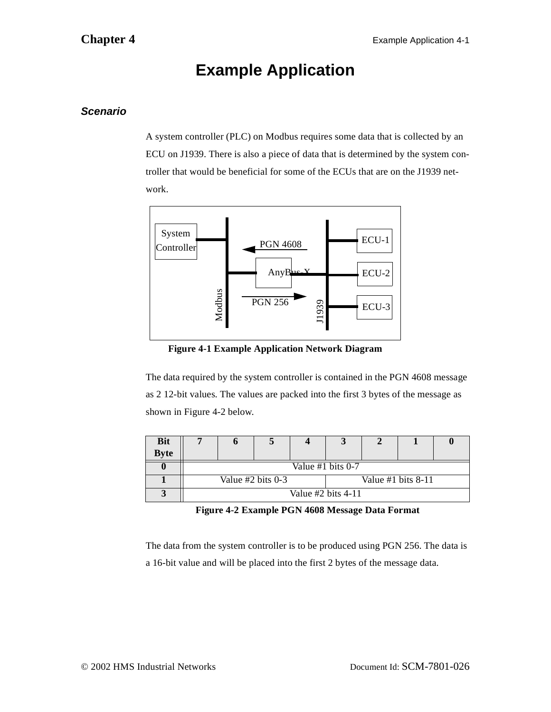## **Example Application**

## <span id="page-25-1"></span><span id="page-25-0"></span>**Scenario**

A system controller (PLC) on Modbus requires some data that is collected by an ECU on J1939. There is also a piece of data that is determined by the system controller that would be beneficial for some of the ECUs that are on the J1939 network.



**Figure 4-1 Example Application Network Diagram**

The data required by the system controller is contained in the PGN 4608 message as 2 12-bit values. The values are packed into the first 3 bytes of the message as shown in [Figure 4-2](#page-25-2) below.

| <b>Bit</b>  |                                               |  |                      |  |  |  |  |
|-------------|-----------------------------------------------|--|----------------------|--|--|--|--|
| <b>Byte</b> |                                               |  |                      |  |  |  |  |
|             | Value #1 bits 0-7                             |  |                      |  |  |  |  |
|             | Value $#2$ bits 0-3<br>Value $#1$ bits $8-11$ |  |                      |  |  |  |  |
|             |                                               |  | Value $#2$ bits 4-11 |  |  |  |  |

**Figure 4-2 Example PGN 4608 Message Data Format**

<span id="page-25-2"></span>The data from the system controller is to be produced using PGN 256. The data is a 16-bit value and will be placed into the first 2 bytes of the message data.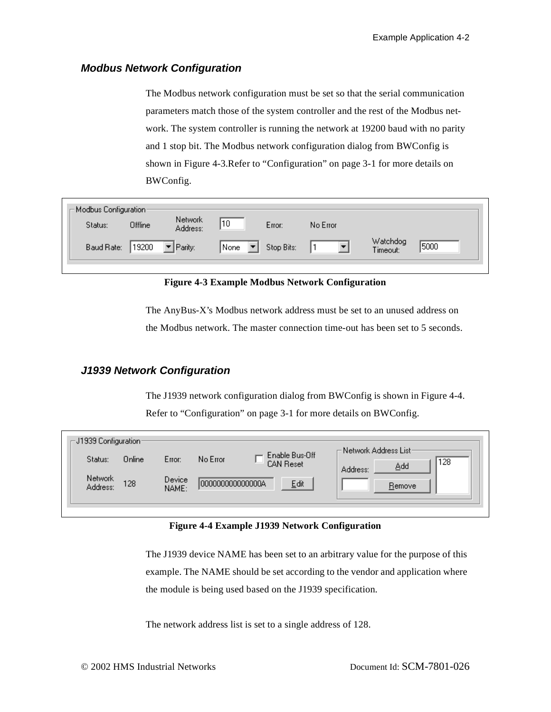### <span id="page-26-0"></span>**Modbus Network Configuration**

The Modbus network configuration must be set so that the serial communication parameters match those of the system controller and the rest of the Modbus network. The system controller is running the network at 19200 baud with no parity and 1 stop bit. The Modbus network configuration dialog from BWConfig is shown in [Figure 4-3.](#page-26-2)Refer to ["Configuration" on page 3-1](#page-13-2) for more details on BWConfig.

<span id="page-26-2"></span>

| Modbus Configuration-<br>Offline<br>Status: | Network<br>Address:             | 10   | Error:     | No Error |                      |      |
|---------------------------------------------|---------------------------------|------|------------|----------|----------------------|------|
| 19200<br>Baud Rate:                         | $\blacktriangleright$   Parity: | None | Stop Bits: |          | Watchdog<br>Timeout: | 5000 |

**Figure 4-3 Example Modbus Network Configuration**

The AnyBus-X's Modbus network address must be set to an unused address on the Modbus network. The master connection time-out has been set to 5 seconds.

## <span id="page-26-1"></span>**J1939 Network Configuration**

The J1939 network configuration dialog from BWConfig is shown in [Figure 4-4](#page-26-3). Refer to ["Configuration" on page 3-1](#page-13-2) for more details on BWConfig.

<span id="page-26-3"></span>

| Online<br>Status:<br>No Error<br>Error:<br>128<br><b>CAN Reset</b><br>Add<br>Address:<br>Network<br>Device<br>128<br>0000000000000000<br>Edit<br>Remove<br>Address:<br>NAME: | $\mathop{-} \mathsf{J1939}$ Configuration : | <del>⊢</del> Network Address List <sup>.</sup><br>Enable Bus-Off |  |
|------------------------------------------------------------------------------------------------------------------------------------------------------------------------------|---------------------------------------------|------------------------------------------------------------------|--|
|------------------------------------------------------------------------------------------------------------------------------------------------------------------------------|---------------------------------------------|------------------------------------------------------------------|--|

#### **Figure 4-4 Example J1939 Network Configuration**

The J1939 device NAME has been set to an arbitrary value for the purpose of this example. The NAME should be set according to the vendor and application where the module is being used based on the J1939 specification.

The network address list is set to a single address of 128.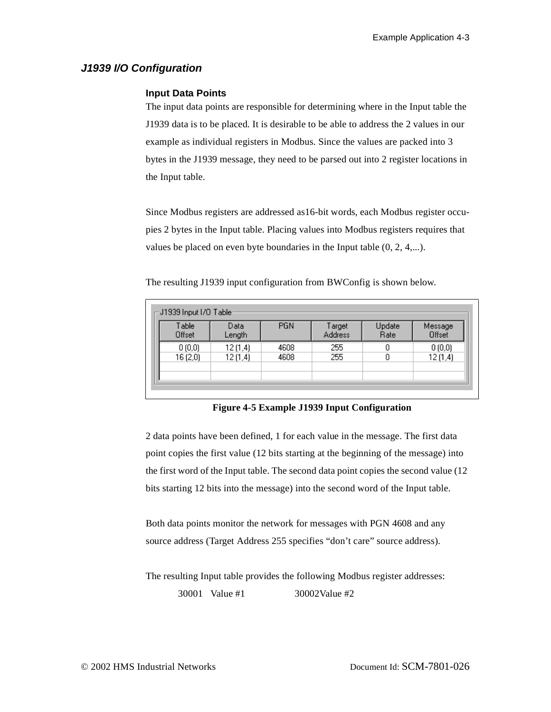## <span id="page-27-0"></span>**J1939 I/O Configuration**

#### **Input Data Points**

The input data points are responsible for determining where in the Input table the J1939 data is to be placed. It is desirable to be able to address the 2 values in our example as individual registers in Modbus. Since the values are packed into 3 bytes in the J1939 message, they need to be parsed out into 2 register locations in the Input table.

Since Modbus registers are addressed as16-bit words, each Modbus register occupies 2 bytes in the Input table. Placing values into Modbus registers requires that values be placed on even byte boundaries in the Input table (0, 2, 4,...).

| $_\Box$ J1939 Input I/O Table : |                |            |                          |                |                   |
|---------------------------------|----------------|------------|--------------------------|----------------|-------------------|
| Table<br>Offset                 | Data<br>Length | <b>PGN</b> | Target<br><b>Address</b> | Update<br>Rate | Message<br>Offset |
| 0(0,0)                          | 12(1,4)        | 4608       | 255                      |                | 0(0,0)            |
| 16(2,0)                         | 12(1,4)        | 4608       | 255                      | 0              | 12(1,4)           |
|                                 |                |            |                          |                |                   |
|                                 |                |            |                          |                |                   |

The resulting J1939 input configuration from BWConfig is shown below.

### **Figure 4-5 Example J1939 Input Configuration**

2 data points have been defined, 1 for each value in the message. The first data point copies the first value (12 bits starting at the beginning of the message) into the first word of the Input table. The second data point copies the second value (12 bits starting 12 bits into the message) into the second word of the Input table.

Both data points monitor the network for messages with PGN 4608 and any source address (Target Address 255 specifies "don't care" source address).

The resulting Input table provides the following Modbus register addresses: 30001 Value #1 30002Value #2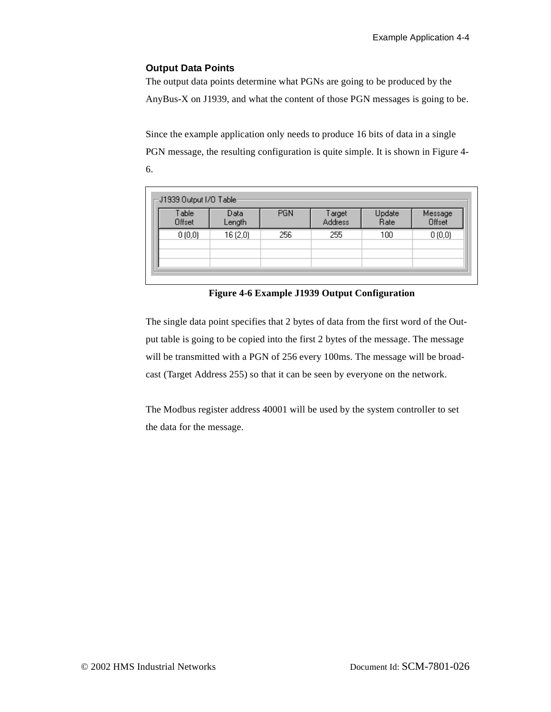#### **Output Data Points**

The output data points determine what PGNs are going to be produced by the AnyBus-X on J1939, and what the content of those PGN messages is going to be.

Since the example application only needs to produce 16 bits of data in a single PGN message, the resulting configuration is quite simple. It is shown in [Figure 4-](#page-28-0) [6.](#page-28-0)

| Table<br>Offset | Data<br>Length | <b>PGN</b> | Target<br>Address | Update<br><b>Rate</b> | Message<br>Offset |
|-----------------|----------------|------------|-------------------|-----------------------|-------------------|
| 0(0,0)          | 16(2,0)        | 256        | 255               | 100                   | 0(0,0)            |

**Figure 4-6 Example J1939 Output Configuration**

<span id="page-28-0"></span>The single data point specifies that 2 bytes of data from the first word of the Output table is going to be copied into the first 2 bytes of the message. The message will be transmitted with a PGN of 256 every 100ms. The message will be broadcast (Target Address 255) so that it can be seen by everyone on the network.

The Modbus register address 40001 will be used by the system controller to set the data for the message.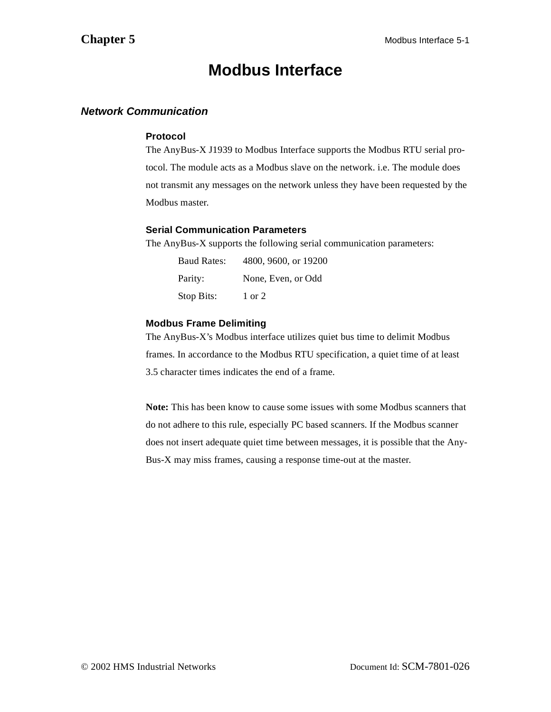## **Modbus Interface**

## <span id="page-29-1"></span><span id="page-29-0"></span>**Network Communication**

#### **Protocol**

The AnyBus-X J1939 to Modbus Interface supports the Modbus RTU serial protocol. The module acts as a Modbus slave on the network. i.e. The module does not transmit any messages on the network unless they have been requested by the Modbus master.

#### **Serial Communication Parameters**

The AnyBus-X supports the following serial communication parameters:

| <b>Baud Rates:</b> | 4800, 9600, or 19200 |
|--------------------|----------------------|
| Parity:            | None, Even, or Odd   |
| Stop Bits:         | $1 \text{ or } 2$    |

### **Modbus Frame Delimiting**

The AnyBus-X's Modbus interface utilizes quiet bus time to delimit Modbus frames. In accordance to the Modbus RTU specification, a quiet time of at least 3.5 character times indicates the end of a frame.

**Note:** This has been know to cause some issues with some Modbus scanners that do not adhere to this rule, especially PC based scanners. If the Modbus scanner does not insert adequate quiet time between messages, it is possible that the Any-Bus-X may miss frames, causing a response time-out at the master.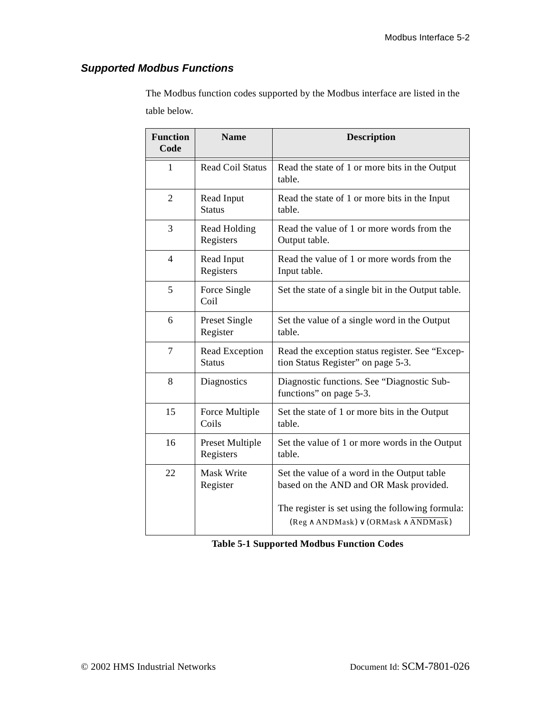## <span id="page-30-0"></span>**Supported Modbus Functions**

The Modbus function codes supported by the Modbus interface are listed in the table below.

| <b>Function</b><br>Code | <b>Name</b>                     | <b>Description</b>                                                                                      |
|-------------------------|---------------------------------|---------------------------------------------------------------------------------------------------------|
| 1                       | <b>Read Coil Status</b>         | Read the state of 1 or more bits in the Output<br>table.                                                |
| $\overline{2}$          | Read Input<br><b>Status</b>     | Read the state of 1 or more bits in the Input<br>table.                                                 |
| 3                       | Read Holding<br>Registers       | Read the value of 1 or more words from the<br>Output table.                                             |
| $\overline{4}$          | Read Input<br>Registers         | Read the value of 1 or more words from the<br>Input table.                                              |
| 5                       | Force Single<br>Coil            | Set the state of a single bit in the Output table.                                                      |
| 6                       | Preset Single<br>Register       | Set the value of a single word in the Output<br>table.                                                  |
| $\overline{7}$          | Read Exception<br><b>Status</b> | Read the exception status register. See "Excep-<br>tion Status Register" on page 5-3.                   |
| 8                       | Diagnostics                     | Diagnostic functions. See "Diagnostic Sub-<br>functions" on page 5-3.                                   |
| 15                      | Force Multiple<br>Coils         | Set the state of 1 or more bits in the Output<br>table.                                                 |
| 16                      | Preset Multiple<br>Registers    | Set the value of 1 or more words in the Output<br>table.                                                |
| 22                      | Mask Write<br>Register          | Set the value of a word in the Output table<br>based on the AND and OR Mask provided.                   |
|                         |                                 | The register is set using the following formula:<br>$(Reg \wedge ANDMask) \vee (ORMask \wedge ANDMask)$ |

**Table 5-1 Supported Modbus Function Codes**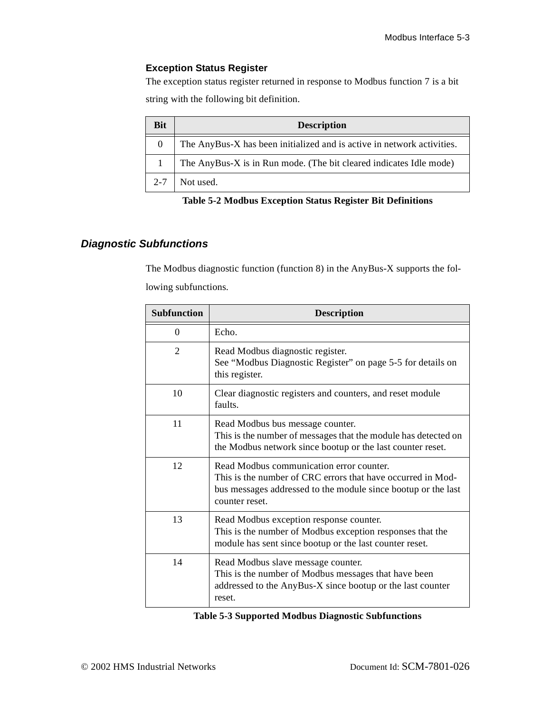## <span id="page-31-1"></span>**Exception Status Register**

The exception status register returned in response to Modbus function 7 is a bit string with the following bit definition.

| <b>Bit</b> | <b>Description</b>                                                     |
|------------|------------------------------------------------------------------------|
| $\Omega$   | The AnyBus-X has been initialized and is active in network activities. |
|            | The AnyBus-X is in Run mode. (The bit cleared indicates Idle mode)     |
| $2 - 7$    | Not used.                                                              |

#### **Table 5-2 Modbus Exception Status Register Bit Definitions**

## <span id="page-31-0"></span>**Diagnostic Subfunctions**

The Modbus diagnostic function (function 8) in the AnyBus-X supports the following subfunctions.

| <b>Subfunction</b> | <b>Description</b>                                                                                                                                                                         |
|--------------------|--------------------------------------------------------------------------------------------------------------------------------------------------------------------------------------------|
| $\Omega$           | Echo.                                                                                                                                                                                      |
| $\mathfrak{D}$     | Read Modbus diagnostic register.<br>See "Modbus Diagnostic Register" on page 5-5 for details on<br>this register.                                                                          |
| 10                 | Clear diagnostic registers and counters, and reset module<br>faults.                                                                                                                       |
| 11                 | Read Modbus bus message counter.<br>This is the number of messages that the module has detected on<br>the Modbus network since bootup or the last counter reset.                           |
| 12                 | Read Modbus communication error counter.<br>This is the number of CRC errors that have occurred in Mod-<br>bus messages addressed to the module since bootup or the last<br>counter reset. |
| 13                 | Read Modbus exception response counter.<br>This is the number of Modbus exception responses that the<br>module has sent since bootup or the last counter reset.                            |
| 14                 | Read Modbus slave message counter.<br>This is the number of Modbus messages that have been<br>addressed to the AnyBus-X since bootup or the last counter<br>reset.                         |

|  |  | <b>Table 5-3 Supported Modbus Diagnostic Subfunctions</b> |
|--|--|-----------------------------------------------------------|
|  |  |                                                           |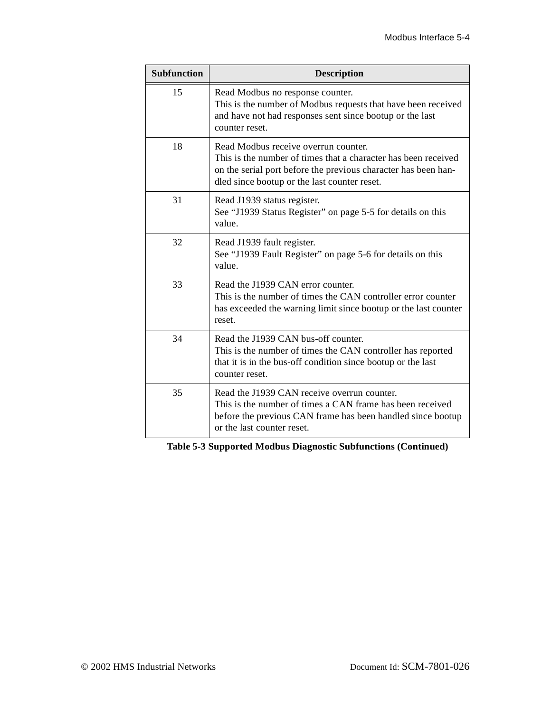| <b>Subfunction</b> | <b>Description</b>                                                                                                                                                                                                       |
|--------------------|--------------------------------------------------------------------------------------------------------------------------------------------------------------------------------------------------------------------------|
| 15                 | Read Modbus no response counter.<br>This is the number of Modbus requests that have been received<br>and have not had responses sent since bootup or the last<br>counter reset.                                          |
| 18                 | Read Modbus receive overrun counter.<br>This is the number of times that a character has been received<br>on the serial port before the previous character has been han-<br>dled since bootup or the last counter reset. |
| 31                 | Read J1939 status register.<br>See "J1939 Status Register" on page 5-5 for details on this<br>value.                                                                                                                     |
| 32                 | Read J1939 fault register.<br>See "J1939 Fault Register" on page 5-6 for details on this<br>value.                                                                                                                       |
| 33                 | Read the J1939 CAN error counter.<br>This is the number of times the CAN controller error counter<br>has exceeded the warning limit since bootup or the last counter<br>reset.                                           |
| 34                 | Read the J1939 CAN bus-off counter.<br>This is the number of times the CAN controller has reported<br>that it is in the bus-off condition since bootup or the last<br>counter reset.                                     |
| 35                 | Read the J1939 CAN receive overrun counter.<br>This is the number of times a CAN frame has been received<br>before the previous CAN frame has been handled since bootup<br>or the last counter reset.                    |

**Table 5-3 Supported Modbus Diagnostic Subfunctions (Continued)**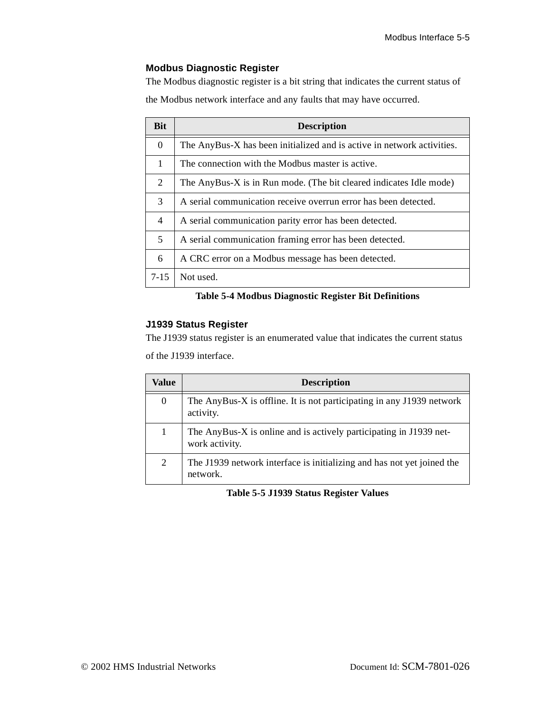## <span id="page-33-0"></span>**Modbus Diagnostic Register**

The Modbus diagnostic register is a bit string that indicates the current status of the Modbus network interface and any faults that may have occurred.

| <b>Bit</b>     | <b>Description</b>                                                     |
|----------------|------------------------------------------------------------------------|
| $\Omega$       | The AnyBus-X has been initialized and is active in network activities. |
| 1              | The connection with the Modbus master is active.                       |
| $\overline{2}$ | The AnyBus-X is in Run mode. (The bit cleared indicates Idle mode)     |
| 3              | A serial communication receive overrun error has been detected.        |
| $\overline{4}$ | A serial communication parity error has been detected.                 |
| 5              | A serial communication framing error has been detected.                |
| 6              | A CRC error on a Modbus message has been detected.                     |
| $7 - 15$       | Not used.                                                              |

## **Table 5-4 Modbus Diagnostic Register Bit Definitions**

#### <span id="page-33-1"></span>**J1939 Status Register**

The J1939 status register is an enumerated value that indicates the current status

of the J1939 interface.

| Value            | <b>Description</b>                                                                   |
|------------------|--------------------------------------------------------------------------------------|
| $\boldsymbol{0}$ | The AnyBus-X is offline. It is not participating in any J1939 network<br>activity.   |
| 1                | The AnyBus-X is online and is actively participating in J1939 net-<br>work activity. |
| 2                | The J1939 network interface is initializing and has not yet joined the<br>network.   |

#### **Table 5-5 J1939 Status Register Values**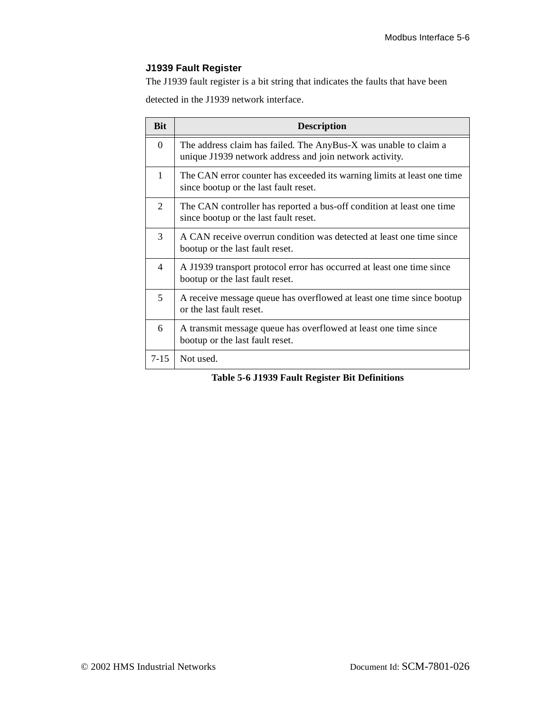## <span id="page-34-0"></span>**J1939 Fault Register**

The J1939 fault register is a bit string that indicates the faults that have been

detected in the J1939 network interface.

| <b>Bit</b>               | <b>Description</b>                                                                                                          |
|--------------------------|-----------------------------------------------------------------------------------------------------------------------------|
| $\Omega$                 | The address claim has failed. The AnyBus-X was unable to claim a<br>unique J1939 network address and join network activity. |
| 1                        | The CAN error counter has exceeded its warning limits at least one time<br>since bootup or the last fault reset.            |
| 2                        | The CAN controller has reported a bus-off condition at least one time<br>since bootup or the last fault reset.              |
| 3                        | A CAN receive overrun condition was detected at least one time since<br>bootup or the last fault reset.                     |
| $\overline{\mathcal{A}}$ | A J1939 transport protocol error has occurred at least one time since<br>bootup or the last fault reset.                    |
| 5                        | A receive message queue has overflowed at least one time since bootup<br>or the last fault reset.                           |
| 6                        | A transmit message queue has overflowed at least one time since<br>bootup or the last fault reset.                          |
| $7 - 15$                 | Not used.                                                                                                                   |

**Table 5-6 J1939 Fault Register Bit Definitions**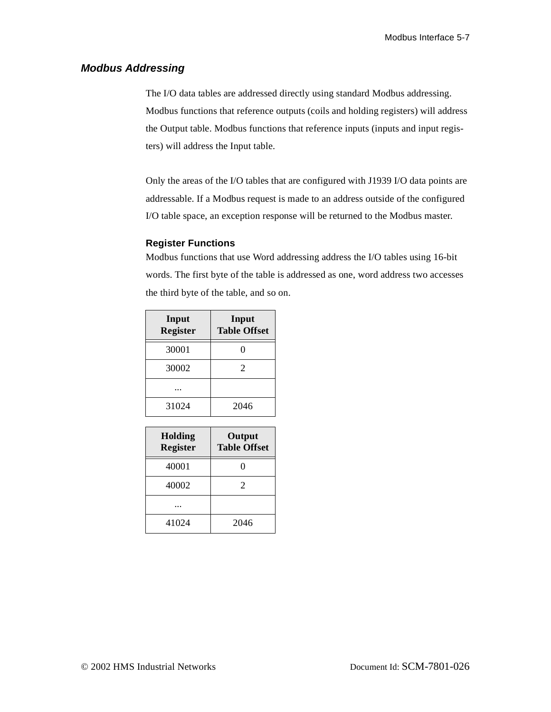## <span id="page-35-0"></span>**Modbus Addressing**

The I/O data tables are addressed directly using standard Modbus addressing. Modbus functions that reference outputs (coils and holding registers) will address the Output table. Modbus functions that reference inputs (inputs and input registers) will address the Input table.

Only the areas of the I/O tables that are configured with J1939 I/O data points are addressable. If a Modbus request is made to an address outside of the configured I/O table space, an exception response will be returned to the Modbus master.

### **Register Functions**

Modbus functions that use Word addressing address the I/O tables using 16-bit words. The first byte of the table is addressed as one, word address two accesses the third byte of the table, and so on.

| Input<br><b>Register</b> | Input<br><b>Table Offset</b> |
|--------------------------|------------------------------|
| 30001                    |                              |
| 30002                    | $\mathfrak{D}$               |
|                          |                              |
| 31024                    | 2046                         |

| <b>Holding</b><br><b>Register</b> | Output<br><b>Table Offset</b> |
|-----------------------------------|-------------------------------|
| 40001                             |                               |
| 40002                             | $\mathfrak{D}$                |
|                                   |                               |
| 41024                             | 2046                          |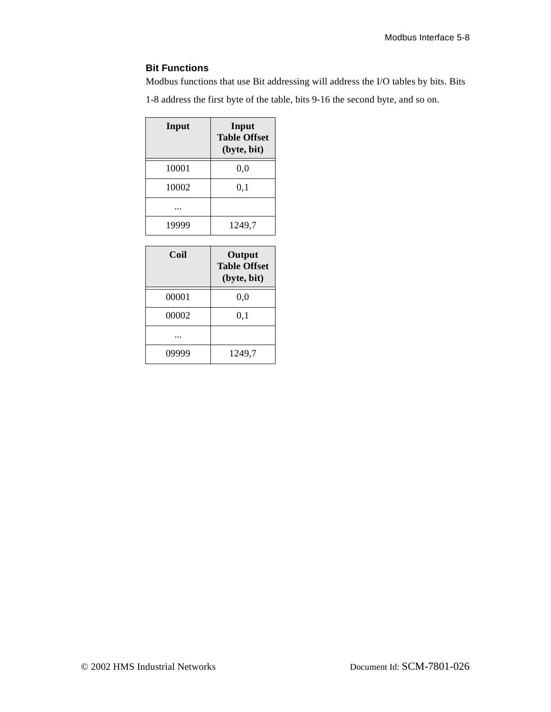## **Bit Functions**

Modbus functions that use Bit addressing will address the I/O tables by bits. Bits

1-8 address the first byte of the table, bits 9-16 the second byte, and so on.

| Input | Input<br><b>Table Offset</b><br>(byte, bit) |
|-------|---------------------------------------------|
| 10001 | 0,0                                         |
| 10002 | 0,1                                         |
|       |                                             |
| 19999 | 1249,7                                      |

| Coil  | Output<br><b>Table Offset</b><br>(byte, bit) |
|-------|----------------------------------------------|
| 00001 | $_{0,0}$                                     |
| 00002 | 0,1                                          |
|       |                                              |
| 09999 | 1249,7                                       |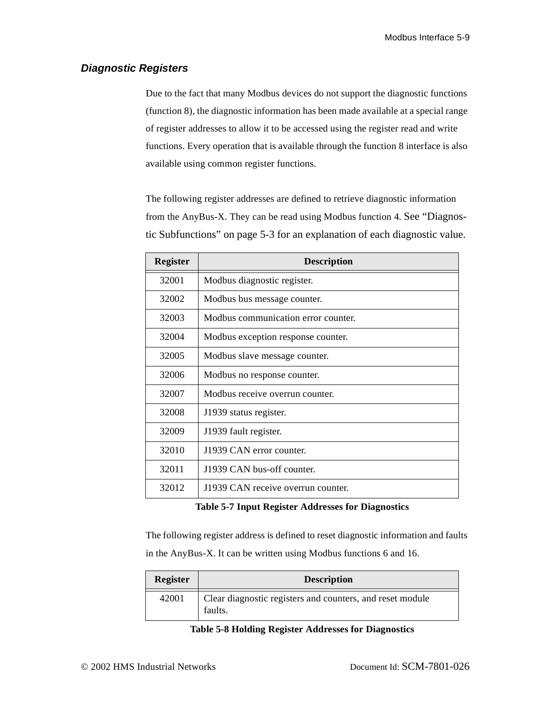### <span id="page-37-0"></span>**Diagnostic Registers**

Due to the fact that many Modbus devices do not support the diagnostic functions (function 8), the diagnostic information has been made available at a special range of register addresses to allow it to be accessed using the register read and write functions. Every operation that is available through the function 8 interface is also available using common register functions.

The following register addresses are defined to retrieve diagnostic information from the AnyBus-X. They can be read using Modbus function 4. See ["Diagnos](#page-31-0)[tic Subfunctions" on page 5-3](#page-31-0) for an explanation of each diagnostic value.

| <b>Register</b> | <b>Description</b>                  |
|-----------------|-------------------------------------|
| 32001           | Modbus diagnostic register.         |
| 32002           | Modbus bus message counter.         |
| 32003           | Modbus communication error counter. |
| 32004           | Modbus exception response counter.  |
| 32005           | Modbus slave message counter.       |
| 32006           | Modbus no response counter.         |
| 32007           | Modbus receive overrun counter.     |
| 32008           | J1939 status register.              |
| 32009           | J1939 fault register.               |
| 32010           | J1939 CAN error counter.            |
| 32011           | J1939 CAN bus-off counter.          |
| 32012           | J1939 CAN receive overrun counter.  |

**Table 5-7 Input Register Addresses for Diagnostics** 

The following register address is defined to reset diagnostic information and faults in the AnyBus-X. It can be written using Modbus functions 6 and 16.

| <b>Register</b> | <b>Description</b>                                                   |
|-----------------|----------------------------------------------------------------------|
| 42001           | Clear diagnostic registers and counters, and reset module<br>faults. |

**Table 5-8 Holding Register Addresses for Diagnostics**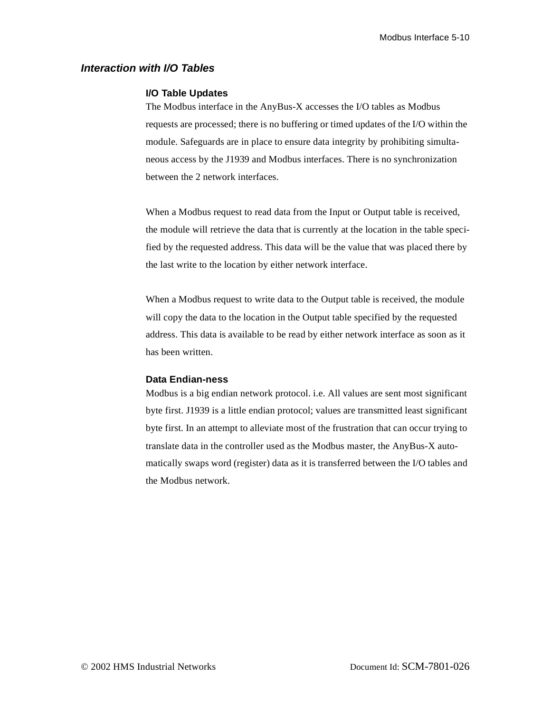#### <span id="page-38-0"></span>**Interaction with I/O Tables**

#### **I/O Table Updates**

The Modbus interface in the AnyBus-X accesses the I/O tables as Modbus requests are processed; there is no buffering or timed updates of the I/O within the module. Safeguards are in place to ensure data integrity by prohibiting simultaneous access by the J1939 and Modbus interfaces. There is no synchronization between the 2 network interfaces.

When a Modbus request to read data from the Input or Output table is received, the module will retrieve the data that is currently at the location in the table specified by the requested address. This data will be the value that was placed there by the last write to the location by either network interface.

When a Modbus request to write data to the Output table is received, the module will copy the data to the location in the Output table specified by the requested address. This data is available to be read by either network interface as soon as it has been written.

#### **Data Endian-ness**

Modbus is a big endian network protocol. i.e. All values are sent most significant byte first. J1939 is a little endian protocol; values are transmitted least significant byte first. In an attempt to alleviate most of the frustration that can occur trying to translate data in the controller used as the Modbus master, the AnyBus-X automatically swaps word (register) data as it is transferred between the I/O tables and the Modbus network.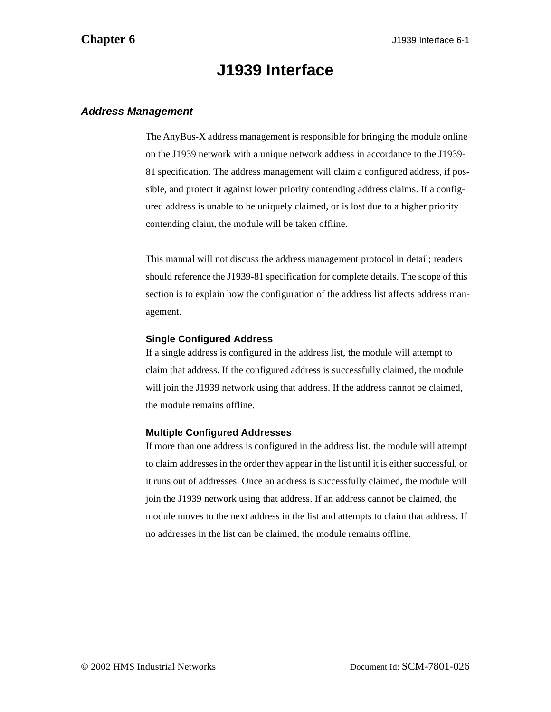## **J1939 Interface**

### <span id="page-39-2"></span><span id="page-39-1"></span><span id="page-39-0"></span>**Address Management**

The AnyBus-X address management is responsible for bringing the module online on the J1939 network with a unique network address in accordance to the J1939- 81 specification. The address management will claim a configured address, if possible, and protect it against lower priority contending address claims. If a configured address is unable to be uniquely claimed, or is lost due to a higher priority contending claim, the module will be taken offline.

This manual will not discuss the address management protocol in detail; readers should reference the J1939-81 specification for complete details. The scope of this section is to explain how the configuration of the address list affects address management.

#### **Single Configured Address**

If a single address is configured in the address list, the module will attempt to claim that address. If the configured address is successfully claimed, the module will join the J1939 network using that address. If the address cannot be claimed, the module remains offline.

#### **Multiple Configured Addresses**

If more than one address is configured in the address list, the module will attempt to claim addresses in the order they appear in the list until it is either successful, or it runs out of addresses. Once an address is successfully claimed, the module will join the J1939 network using that address. If an address cannot be claimed, the module moves to the next address in the list and attempts to claim that address. If no addresses in the list can be claimed, the module remains offline.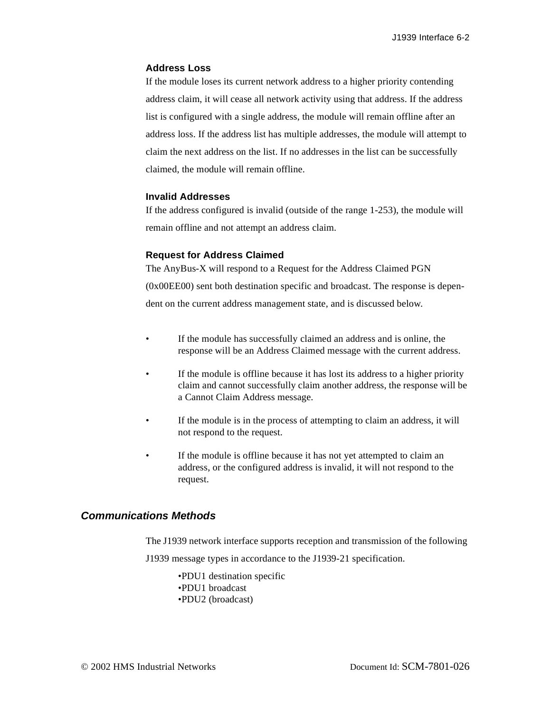#### **Address Loss**

If the module loses its current network address to a higher priority contending address claim, it will cease all network activity using that address. If the address list is configured with a single address, the module will remain offline after an address loss. If the address list has multiple addresses, the module will attempt to claim the next address on the list. If no addresses in the list can be successfully claimed, the module will remain offline.

#### **Invalid Addresses**

If the address configured is invalid (outside of the range 1-253), the module will remain offline and not attempt an address claim.

#### **Request for Address Claimed**

The AnyBus-X will respond to a Request for the Address Claimed PGN (0x00EE00) sent both destination specific and broadcast. The response is dependent on the current address management state, and is discussed below.

- If the module has successfully claimed an address and is online, the response will be an Address Claimed message with the current address.
- If the module is offline because it has lost its address to a higher priority claim and cannot successfully claim another address, the response will be a Cannot Claim Address message.
- If the module is in the process of attempting to claim an address, it will not respond to the request.
- If the module is offline because it has not yet attempted to claim an address, or the configured address is invalid, it will not respond to the request.

### <span id="page-40-0"></span>**Communications Methods**

The J1939 network interface supports reception and transmission of the following J1939 message types in accordance to the J1939-21 specification.

> •PDU1 destination specific •PDU1 broadcast •PDU2 (broadcast)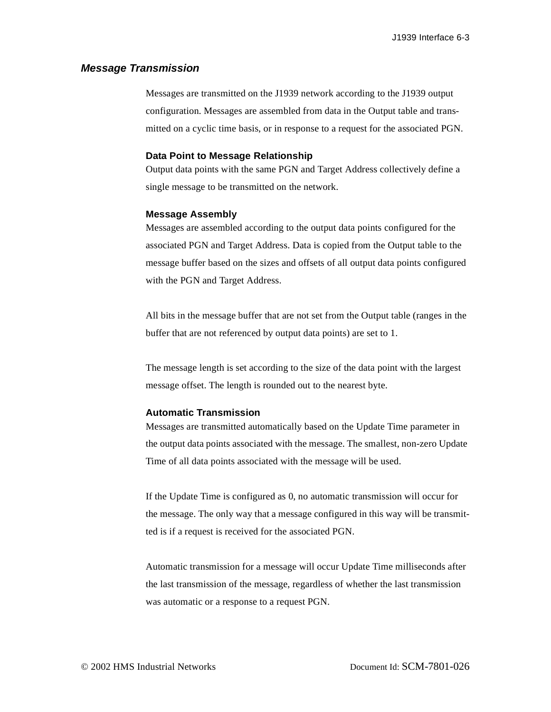#### <span id="page-41-0"></span>**Message Transmission**

Messages are transmitted on the J1939 network according to the J1939 output configuration. Messages are assembled from data in the Output table and transmitted on a cyclic time basis, or in response to a request for the associated PGN.

#### **Data Point to Message Relationship**

Output data points with the same PGN and Target Address collectively define a single message to be transmitted on the network.

#### **Message Assembly**

Messages are assembled according to the output data points configured for the associated PGN and Target Address. Data is copied from the Output table to the message buffer based on the sizes and offsets of all output data points configured with the PGN and Target Address.

All bits in the message buffer that are not set from the Output table (ranges in the buffer that are not referenced by output data points) are set to 1.

The message length is set according to the size of the data point with the largest message offset. The length is rounded out to the nearest byte.

#### **Automatic Transmission**

Messages are transmitted automatically based on the Update Time parameter in the output data points associated with the message. The smallest, non-zero Update Time of all data points associated with the message will be used.

If the Update Time is configured as 0, no automatic transmission will occur for the message. The only way that a message configured in this way will be transmitted is if a request is received for the associated PGN.

Automatic transmission for a message will occur Update Time milliseconds after the last transmission of the message, regardless of whether the last transmission was automatic or a response to a request PGN.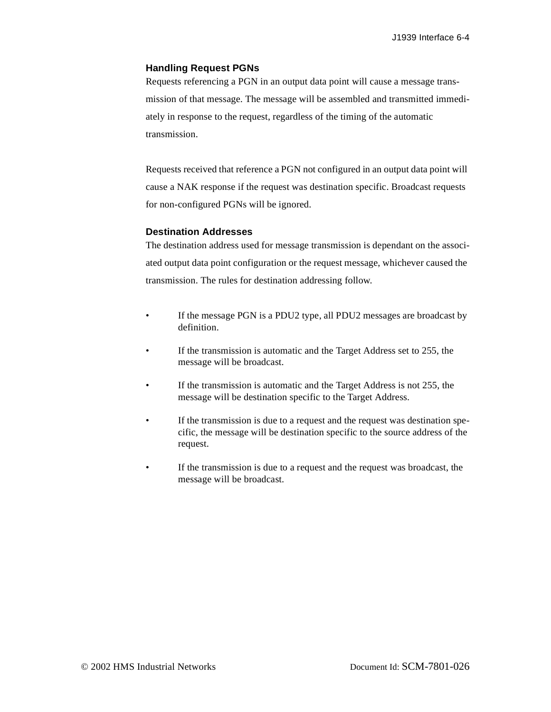#### **Handling Request PGNs**

Requests referencing a PGN in an output data point will cause a message transmission of that message. The message will be assembled and transmitted immediately in response to the request, regardless of the timing of the automatic transmission.

Requests received that reference a PGN not configured in an output data point will cause a NAK response if the request was destination specific. Broadcast requests for non-configured PGNs will be ignored.

#### **Destination Addresses**

The destination address used for message transmission is dependant on the associated output data point configuration or the request message, whichever caused the transmission. The rules for destination addressing follow.

- If the message PGN is a PDU2 type, all PDU2 messages are broadcast by definition.
- If the transmission is automatic and the Target Address set to 255, the message will be broadcast.
- If the transmission is automatic and the Target Address is not 255, the message will be destination specific to the Target Address.
- If the transmission is due to a request and the request was destination specific, the message will be destination specific to the source address of the request.
- If the transmission is due to a request and the request was broadcast, the message will be broadcast.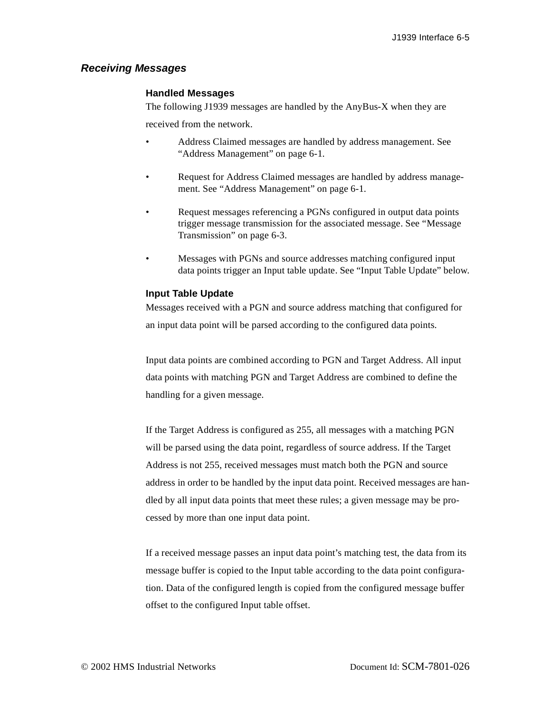#### <span id="page-43-0"></span>**Receiving Messages**

#### **Handled Messages**

The following J1939 messages are handled by the AnyBus-X when they are

received from the network.

- Address Claimed messages are handled by address management. See ["Address Management" on page 6-1.](#page-39-1)
- Request for Address Claimed messages are handled by address management. See ["Address Management" on page 6-1.](#page-39-1)
- Request messages referencing a PGNs configured in output data points trigger message transmission for the associated message. See ["Message](#page-41-0)  [Transmission" on page 6-3](#page-41-0).
- Messages with PGNs and source addresses matching configured input data points trigger an Input table update. See "Input Table Update" below.

#### **Input Table Update**

Messages received with a PGN and source address matching that configured for an input data point will be parsed according to the configured data points.

Input data points are combined according to PGN and Target Address. All input data points with matching PGN and Target Address are combined to define the handling for a given message.

If the Target Address is configured as 255, all messages with a matching PGN will be parsed using the data point, regardless of source address. If the Target Address is not 255, received messages must match both the PGN and source address in order to be handled by the input data point. Received messages are handled by all input data points that meet these rules; a given message may be processed by more than one input data point.

If a received message passes an input data point's matching test, the data from its message buffer is copied to the Input table according to the data point configuration. Data of the configured length is copied from the configured message buffer offset to the configured Input table offset.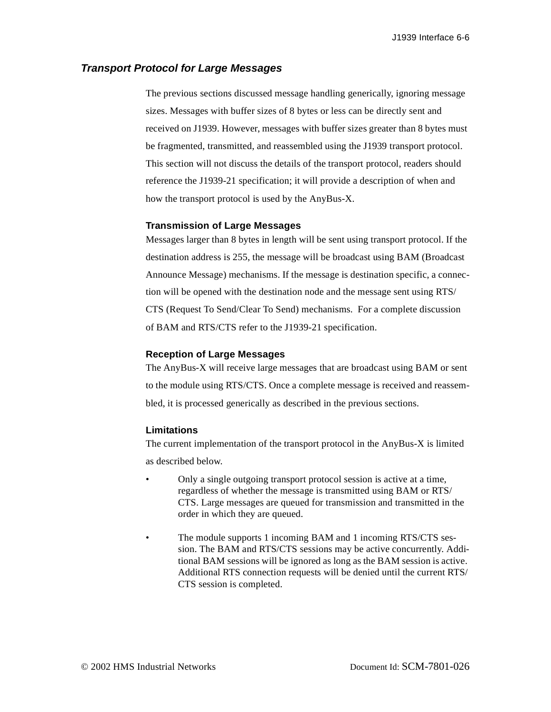#### <span id="page-44-0"></span>**Transport Protocol for Large Messages**

The previous sections discussed message handling generically, ignoring message sizes. Messages with buffer sizes of 8 bytes or less can be directly sent and received on J1939. However, messages with buffer sizes greater than 8 bytes must be fragmented, transmitted, and reassembled using the J1939 transport protocol. This section will not discuss the details of the transport protocol, readers should reference the J1939-21 specification; it will provide a description of when and how the transport protocol is used by the AnyBus-X.

#### **Transmission of Large Messages**

Messages larger than 8 bytes in length will be sent using transport protocol. If the destination address is 255, the message will be broadcast using BAM (Broadcast Announce Message) mechanisms. If the message is destination specific, a connection will be opened with the destination node and the message sent using RTS/ CTS (Request To Send/Clear To Send) mechanisms. For a complete discussion of BAM and RTS/CTS refer to the J1939-21 specification.

#### **Reception of Large Messages**

The AnyBus-X will receive large messages that are broadcast using BAM or sent to the module using RTS/CTS. Once a complete message is received and reassembled, it is processed generically as described in the previous sections.

#### **Limitations**

The current implementation of the transport protocol in the AnyBus-X is limited as described below.

- Only a single outgoing transport protocol session is active at a time, regardless of whether the message is transmitted using BAM or RTS/ CTS. Large messages are queued for transmission and transmitted in the order in which they are queued.
- The module supports 1 incoming BAM and 1 incoming RTS/CTS session. The BAM and RTS/CTS sessions may be active concurrently. Additional BAM sessions will be ignored as long as the BAM session is active. Additional RTS connection requests will be denied until the current RTS/ CTS session is completed.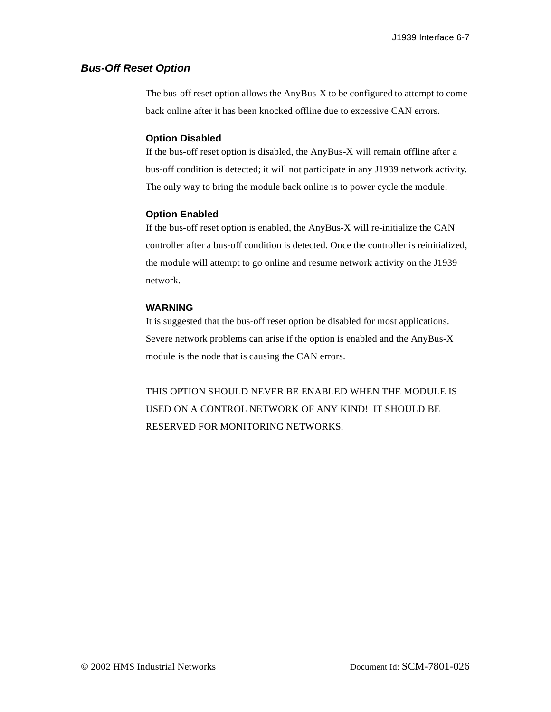### <span id="page-45-0"></span>**Bus-Off Reset Option**

The bus-off reset option allows the AnyBus-X to be configured to attempt to come back online after it has been knocked offline due to excessive CAN errors.

#### **Option Disabled**

If the bus-off reset option is disabled, the AnyBus-X will remain offline after a bus-off condition is detected; it will not participate in any J1939 network activity. The only way to bring the module back online is to power cycle the module.

#### **Option Enabled**

If the bus-off reset option is enabled, the AnyBus-X will re-initialize the CAN controller after a bus-off condition is detected. Once the controller is reinitialized, the module will attempt to go online and resume network activity on the J1939 network.

#### **WARNING**

It is suggested that the bus-off reset option be disabled for most applications. Severe network problems can arise if the option is enabled and the AnyBus-X module is the node that is causing the CAN errors.

THIS OPTION SHOULD NEVER BE ENABLED WHEN THE MODULE IS USED ON A CONTROL NETWORK OF ANY KIND! IT SHOULD BE RESERVED FOR MONITORING NETWORKS.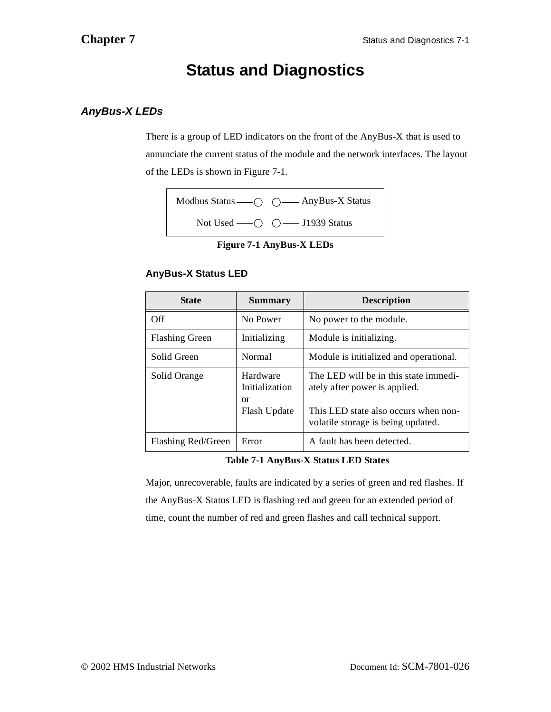## <span id="page-46-2"></span>**Status and Diagnostics**

## <span id="page-46-1"></span><span id="page-46-0"></span>**AnyBus-X LEDs**

There is a group of LED indicators on the front of the AnyBus-X that is used to annunciate the current status of the module and the network interfaces. The layout of the LEDs is shown in [Figure 7-1](#page-46-3).



**Figure 7-1 AnyBus-X LEDs**

## <span id="page-46-3"></span>**AnyBus-X Status LED**

| <b>State</b>          | <b>Summary</b>                                   | <b>Description</b>                                                                                                                                   |  |
|-----------------------|--------------------------------------------------|------------------------------------------------------------------------------------------------------------------------------------------------------|--|
| Off                   | No Power                                         | No power to the module.                                                                                                                              |  |
| <b>Flashing Green</b> | Initializing                                     | Module is initializing.                                                                                                                              |  |
| Solid Green           | Normal                                           | Module is initialized and operational.                                                                                                               |  |
| Solid Orange          | Hardware<br>Initialization<br>or<br>Flash Update | The LED will be in this state immedi-<br>ately after power is applied.<br>This LED state also occurs when non-<br>volatile storage is being updated. |  |
| Flashing Red/Green    | Error                                            | A fault has been detected.                                                                                                                           |  |

**Table 7-1 AnyBus-X Status LED States**

Major, unrecoverable, faults are indicated by a series of green and red flashes. If the AnyBus-X Status LED is flashing red and green for an extended period of time, count the number of red and green flashes and call technical support.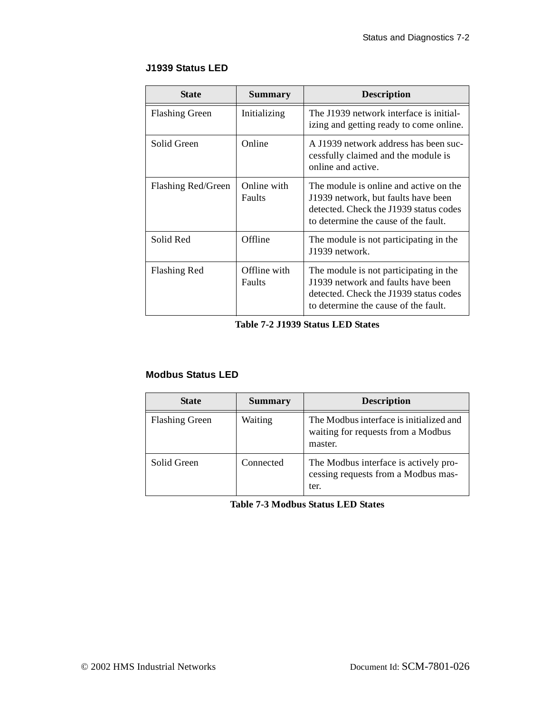## **J1939 Status LED**

| <b>State</b>          | Summary                | <b>Description</b>                                                                                                                                              |  |
|-----------------------|------------------------|-----------------------------------------------------------------------------------------------------------------------------------------------------------------|--|
| <b>Flashing Green</b> | Initializing           | The J1939 network interface is initial-<br>izing and getting ready to come online.                                                                              |  |
| Solid Green           | Online                 | A J1939 network address has been suc-<br>cessfully claimed and the module is<br>online and active.                                                              |  |
| Flashing Red/Green    | Online with<br>Faults  | The module is online and active on the<br>J1939 network, but faults have been<br>detected. Check the J1939 status codes<br>to determine the cause of the fault. |  |
| Solid Red             | Offline                | The module is not participating in the<br>J1939 network.                                                                                                        |  |
| <b>Flashing Red</b>   | Offline with<br>Faults | The module is not participating in the<br>J1939 network and faults have been<br>detected. Check the J1939 status codes<br>to determine the cause of the fault.  |  |

**Table 7-2 J1939 Status LED States**

## **Modbus Status LED**

| <b>State</b>          | <b>Summary</b> | <b>Description</b>                                                                       |  |
|-----------------------|----------------|------------------------------------------------------------------------------------------|--|
| <b>Flashing Green</b> | Waiting        | The Modbus interface is initialized and<br>waiting for requests from a Modbus<br>master. |  |
| Solid Green           | Connected      | The Modbus interface is actively pro-<br>cessing requests from a Modbus mas-<br>ter.     |  |

**Table 7-3 Modbus Status LED States**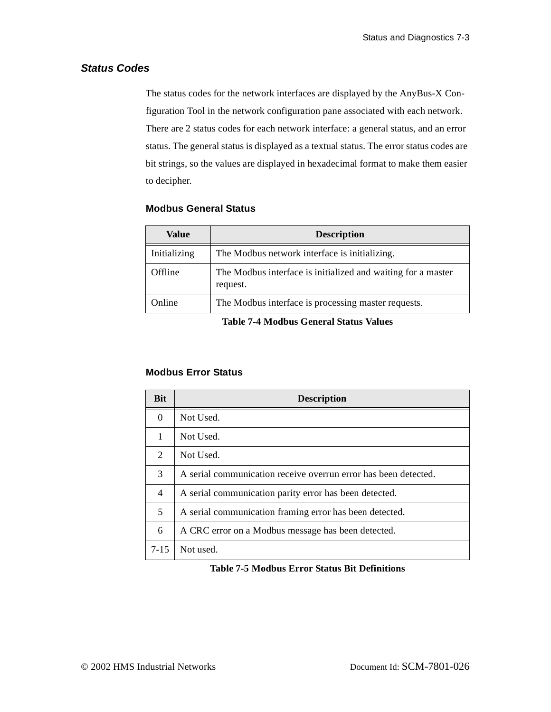## <span id="page-48-0"></span>**Status Codes**

The status codes for the network interfaces are displayed by the AnyBus-X Configuration Tool in the network configuration pane associated with each network. There are 2 status codes for each network interface: a general status, and an error status. The general status is displayed as a textual status. The error status codes are bit strings, so the values are displayed in hexadecimal format to make them easier to decipher.

### **Modbus General Status**

| Value        | <b>Description</b>                                                       |  |  |
|--------------|--------------------------------------------------------------------------|--|--|
| Initializing | The Modbus network interface is initializing.                            |  |  |
| Offline      | The Modbus interface is initialized and waiting for a master<br>request. |  |  |
| Online       | The Modbus interface is processing master requests.                      |  |  |

**Table 7-4 Modbus General Status Values**

### **Modbus Error Status**

| <b>Bit</b>                  | <b>Description</b>                                              |
|-----------------------------|-----------------------------------------------------------------|
| $\Omega$                    | Not Used.                                                       |
| 1                           | Not Used.                                                       |
| $\mathcal{D}_{\mathcal{L}}$ | Not Used.                                                       |
| 3                           | A serial communication receive overrun error has been detected. |
| $\overline{4}$              | A serial communication parity error has been detected.          |
| 5                           | A serial communication framing error has been detected.         |
| 6                           | A CRC error on a Modbus message has been detected.              |
| $7 - 15$                    | Not used.                                                       |

### **Table 7-5 Modbus Error Status Bit Definitions**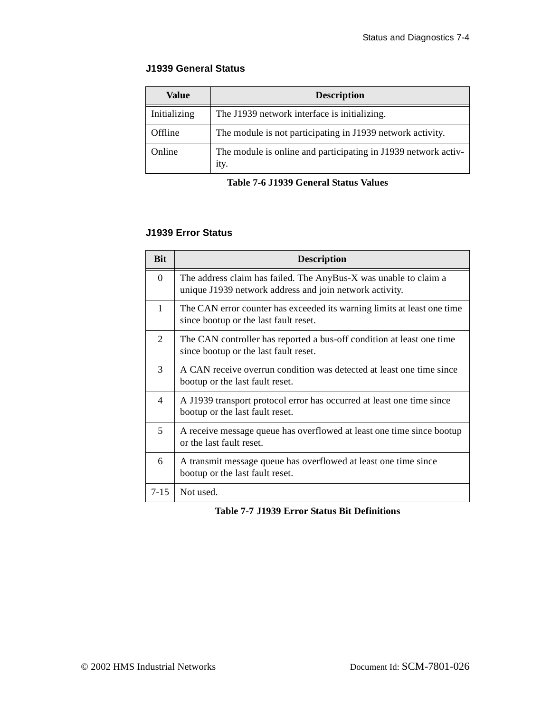#### **J1939 General Status**

| <b>Value</b> | <b>Description</b>                                                     |  |  |
|--------------|------------------------------------------------------------------------|--|--|
| Initializing | The J1939 network interface is initializing.                           |  |  |
| Offline      | The module is not participating in J1939 network activity.             |  |  |
| Online       | The module is online and participating in J1939 network activ-<br>ity. |  |  |

**Table 7-6 J1939 General Status Values**

## **J1939 Error Status**

| <b>Bit</b>               | <b>Description</b>                                                                                                          |
|--------------------------|-----------------------------------------------------------------------------------------------------------------------------|
| $\Omega$                 | The address claim has failed. The AnyBus-X was unable to claim a<br>unique J1939 network address and join network activity. |
| 1                        | The CAN error counter has exceeded its warning limits at least one time<br>since bootup or the last fault reset.            |
| 2                        | The CAN controller has reported a bus-off condition at least one time<br>since bootup or the last fault reset.              |
| 3                        | A CAN receive overrun condition was detected at least one time since<br>bootup or the last fault reset.                     |
| $\overline{\mathcal{A}}$ | A J1939 transport protocol error has occurred at least one time since<br>bootup or the last fault reset.                    |
| 5                        | A receive message queue has overflowed at least one time since bootup<br>or the last fault reset.                           |
| 6                        | A transmit message queue has overflowed at least one time since<br>bootup or the last fault reset.                          |
| $7 - 15$                 | Not used.                                                                                                                   |

**Table 7-7 J1939 Error Status Bit Definitions**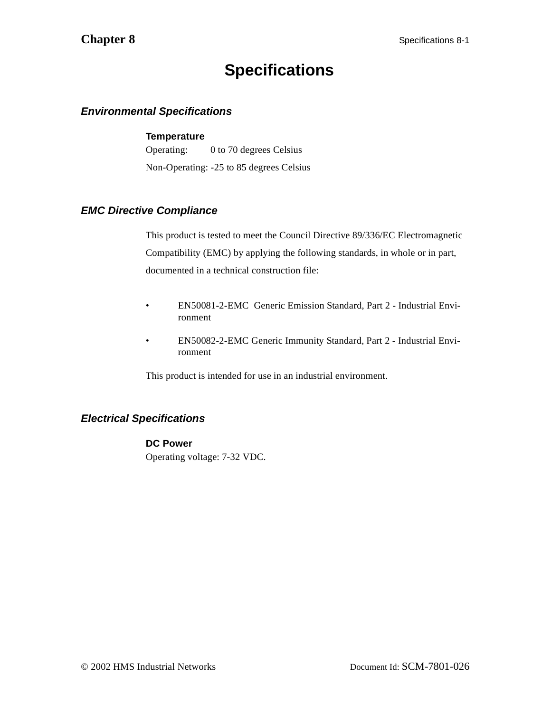## **Specifications**

## <span id="page-50-1"></span><span id="page-50-0"></span>**Environmental Specifications**

#### **Temperature**

Operating: 0 to 70 degrees Celsius Non-Operating: -25 to 85 degrees Celsius

## <span id="page-50-2"></span>**EMC Directive Compliance**

This product is tested to meet the Council Directive 89/336/EC Electromagnetic Compatibility (EMC) by applying the following standards, in whole or in part, documented in a technical construction file:

- EN50081-2-EMC Generic Emission Standard, Part 2 Industrial Environment
- EN50082-2-EMC Generic Immunity Standard, Part 2 Industrial Environment

This product is intended for use in an industrial environment.

## <span id="page-50-3"></span>**Electrical Specifications**

### **DC Power**

Operating voltage: 7-32 VDC.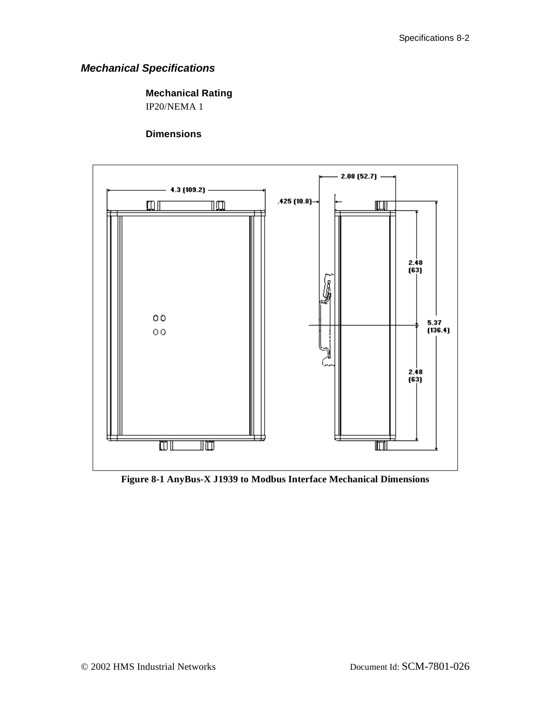## <span id="page-51-0"></span>**Mechanical Specifications**

## **Mechanical Rating**

IP20/NEMA 1

## **Dimensions**



**Figure 8-1 AnyBus-X J1939 to Modbus Interface Mechanical Dimensions**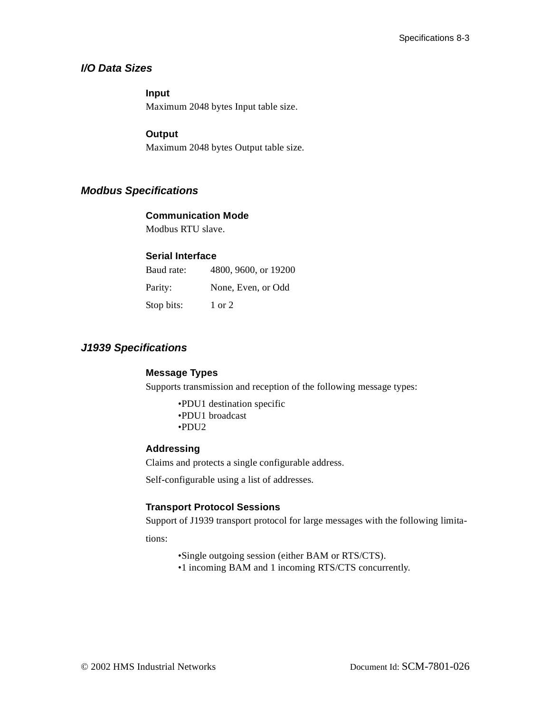## <span id="page-52-0"></span>**I/O Data Sizes**

#### **Input**

Maximum 2048 bytes Input table size.

#### **Output**

Maximum 2048 bytes Output table size.

## <span id="page-52-1"></span>**Modbus Specifications**

#### **Communication Mode**

Modbus RTU slave.

## **Serial Interface**

| Baud rate: | 4800, 9600, or 19200 |
|------------|----------------------|
| Parity:    | None, Even, or Odd   |
| Stop bits: | 1 or 2               |

## <span id="page-52-2"></span>**J1939 Specifications**

### **Message Types**

Supports transmission and reception of the following message types:

•PDU1 destination specific •PDU1 broadcast •PDU2

#### **Addressing**

Claims and protects a single configurable address.

Self-configurable using a list of addresses.

### **Transport Protocol Sessions**

Support of J1939 transport protocol for large messages with the following limita-

tions:

•Single outgoing session (either BAM or RTS/CTS).

•1 incoming BAM and 1 incoming RTS/CTS concurrently.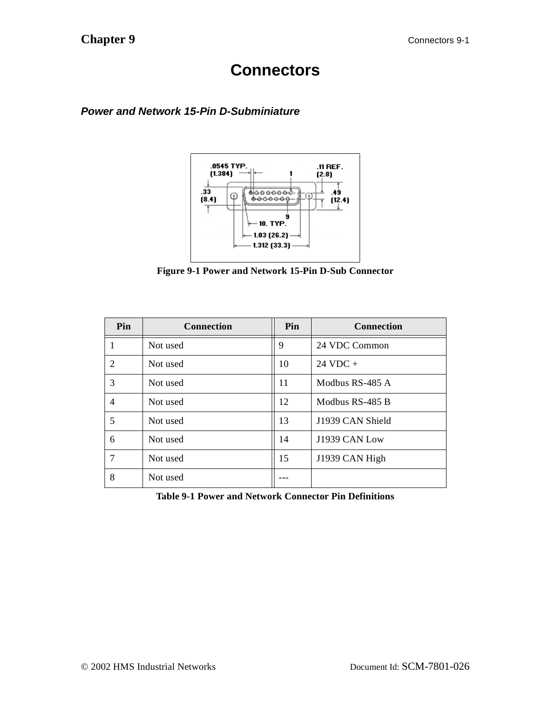## **Connectors**

## <span id="page-53-1"></span><span id="page-53-0"></span>**Power and Network 15-Pin D-Subminiature**



**Figure 9-1 Power and Network 15-Pin D-Sub Connector**

| Pin | <b>Connection</b> | Pin | <b>Connection</b>  |  |
|-----|-------------------|-----|--------------------|--|
|     | Not used          | 9   | 24 VDC Common      |  |
| 2   | Not used          | 10  | $24 \text{ VDC} +$ |  |
| 3   | Not used          | 11  | Modbus RS-485 A    |  |
| 4   | Not used          | 12  | Modbus RS-485 B    |  |
| 5   | Not used          | 13  | J1939 CAN Shield   |  |
| 6   | Not used          | 14  | J1939 CAN Low      |  |
|     | Not used          | 15  | J1939 CAN High     |  |
| 8   | Not used          |     |                    |  |

**Table 9-1 Power and Network Connector Pin Definitions**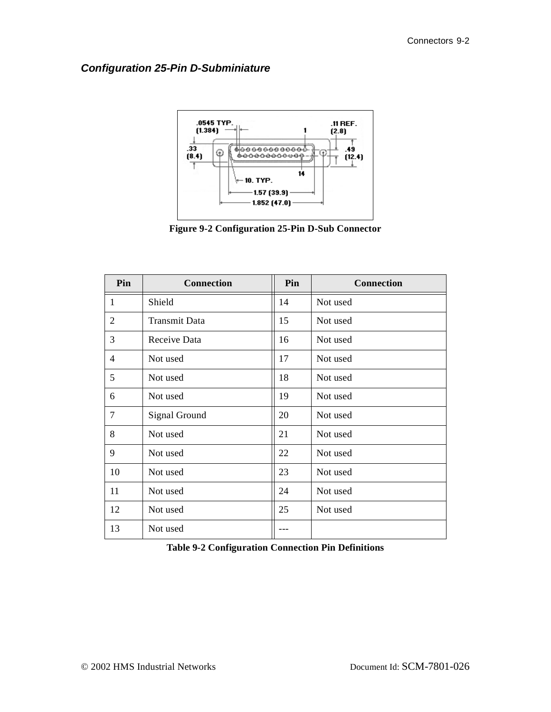## <span id="page-54-0"></span>**Configuration 25-Pin D-Subminiature**



**Figure 9-2 Configuration 25-Pin D-Sub Connector**

| Pin            | <b>Connection</b>    | Pin | <b>Connection</b> |  |
|----------------|----------------------|-----|-------------------|--|
| 1              | Shield               | 14  | Not used          |  |
| $\overline{2}$ | <b>Transmit Data</b> | 15  | Not used          |  |
| 3              | Receive Data         | 16  | Not used          |  |
| 4              | Not used             | 17  | Not used          |  |
| 5              | Not used             | 18  | Not used          |  |
| 6              | Not used             | 19  | Not used          |  |
| 7              | <b>Signal Ground</b> | 20  | Not used          |  |
| 8              | Not used             | 21  | Not used          |  |
| 9              | Not used             | 22  | Not used          |  |
| 10             | Not used             | 23  | Not used          |  |
| 11             | Not used             | 24  | Not used          |  |
| 12             | Not used             | 25  | Not used          |  |
| 13             | Not used             |     |                   |  |

| <b>Table 9-2 Configuration Connection Pin Definitions</b> |  |  |  |
|-----------------------------------------------------------|--|--|--|
|-----------------------------------------------------------|--|--|--|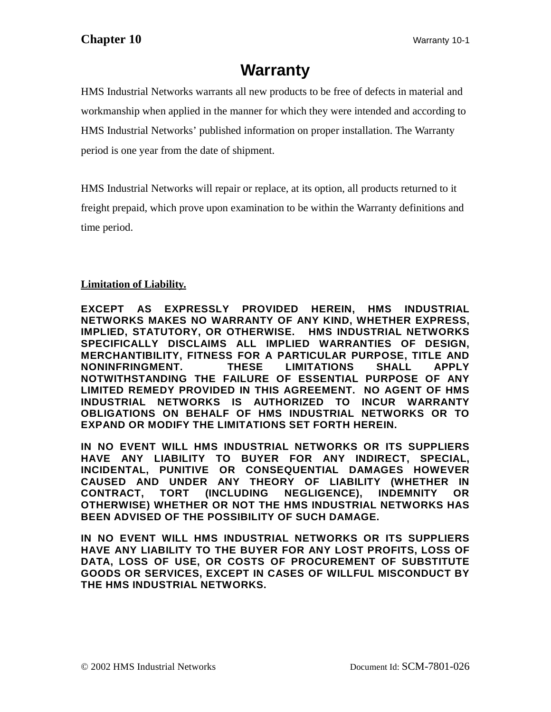## **Warranty**

<span id="page-55-0"></span>HMS Industrial Networks warrants all new products to be free of defects in material and workmanship when applied in the manner for which they were intended and according to HMS Industrial Networks' published information on proper installation. The Warranty period is one year from the date of shipment.

HMS Industrial Networks will repair or replace, at its option, all products returned to it freight prepaid, which prove upon examination to be within the Warranty definitions and time period.

## **Limitation of Liability.**

**EXCEPT AS EXPRESSLY PROVIDED HEREIN, HMS INDUSTRIAL NETWORKS MAKES NO WARRANTY OF ANY KIND, WHETHER EXPRESS, IMPLIED, STATUTORY, OR OTHERWISE. HMS INDUSTRIAL NETWORKS SPECIFICALLY DISCLAIMS ALL IMPLIED WARRANTIES OF DESIGN, MERCHANTIBILITY, FITNESS FOR A PARTICULAR PURPOSE, TITLE AND NONINFRINGMENT. THESE LIMITATIONS SHALL APPLY NOTWITHSTANDING THE FAILURE OF ESSENTIAL PURPOSE OF ANY LIMITED REMEDY PROVIDED IN THIS AGREEMENT. NO AGENT OF HMS INDUSTRIAL NETWORKS IS AUTHORIZED TO INCUR WARRANTY OBLIGATIONS ON BEHALF OF HMS INDUSTRIAL NETWORKS OR TO EXPAND OR MODIFY THE LIMITATIONS SET FORTH HEREIN.** 

**IN NO EVENT WILL HMS INDUSTRIAL NETWORKS OR ITS SUPPLIERS HAVE ANY LIABILITY TO BUYER FOR ANY INDIRECT, SPECIAL, INCIDENTAL, PUNITIVE OR CONSEQUENTIAL DAMAGES HOWEVER CAUSED AND UNDER ANY THEORY OF LIABILITY (WHETHER IN CONTRACT, TORT (INCLUDING NEGLIGENCE), INDEMNITY OR OTHERWISE) WHETHER OR NOT THE HMS INDUSTRIAL NETWORKS HAS BEEN ADVISED OF THE POSSIBILITY OF SUCH DAMAGE.** 

**IN NO EVENT WILL HMS INDUSTRIAL NETWORKS OR ITS SUPPLIERS HAVE ANY LIABILITY TO THE BUYER FOR ANY LOST PROFITS, LOSS OF DATA, LOSS OF USE, OR COSTS OF PROCUREMENT OF SUBSTITUTE GOODS OR SERVICES, EXCEPT IN CASES OF WILLFUL MISCONDUCT BY THE HMS INDUSTRIAL NETWORKS.**